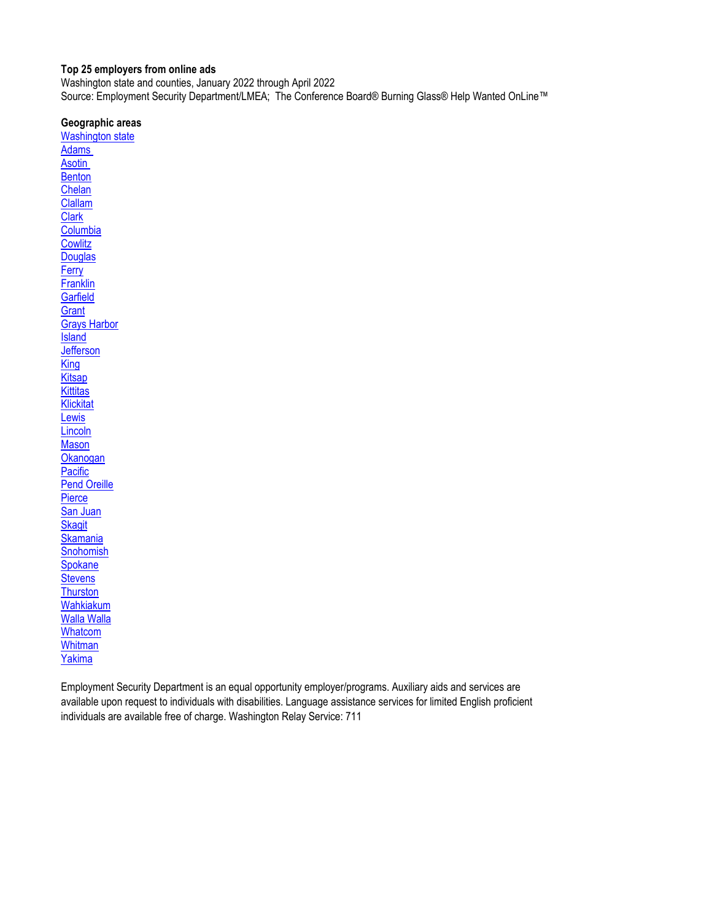#### <span id="page-0-0"></span>**Top 25 employers from online ads**

Washington state and counties, January 2022 through April 2022 Source: Employment Security Department/LMEA; The Conference Board® Burning Glass® Help Wanted OnLine™

#### **Geographic areas**

[Washington state](#page-1-0) [Adams](#page-2-0)  **Asotin [Benton](#page-4-0)** [Chelan](#page-5-0) [Clallam](#page-6-0) **[Clark](#page-7-0) [Columbia](#page-8-0) [Cowlitz](#page-9-0) [Douglas](#page-10-0) [Ferry](#page-11-0) [Franklin](#page-12-0) [Garfield](#page-13-0) [Grant](#page-14-0)** [Grays Harbor](#page-15-0) **[Island](#page-16-0) [Jefferson](#page-17-0) [King](#page-18-0) [Kitsap](#page-19-0) [Kittitas](#page-20-0) [Klickitat](#page-21-0) [Lewis](#page-22-0) [Lincoln](#page-23-0) [Mason](#page-24-0) [Okanogan](#page-25-0) [Pacific](#page-26-0)** [Pend Oreille](#page-27-0) **[Pierce](#page-28-0)** [San Juan](#page-29-0) **[Skagit](#page-30-0) [Skamania](#page-31-0) [Snohomish](#page-32-0) [Spokane](#page-33-0) [Stevens](#page-34-0) [Thurston](#page-35-0)** [Wahkiakum](#page-36-0) [Walla Walla](#page-37-0) [Whatcom](#page-38-0) **[Whitman](#page-39-0)** [Yakima](#page-40-0)

Employment Security Department is an equal opportunity employer/programs. Auxiliary aids and services are available upon request to individuals with disabilities. Language assistance services for limited English proficient individuals are available free of charge. Washington Relay Service: 711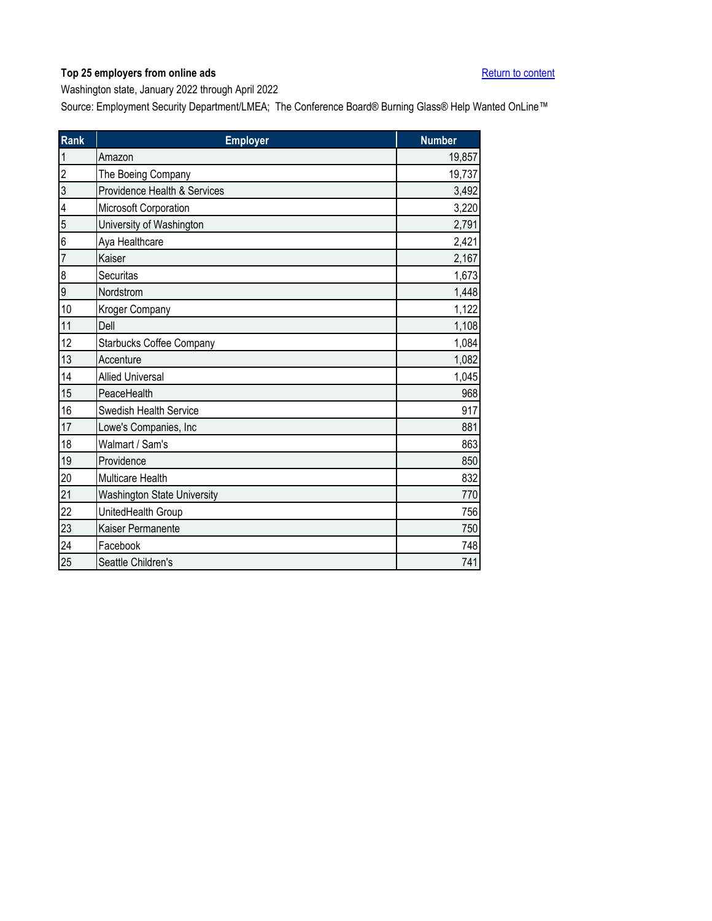<span id="page-1-0"></span>Washington state, January 2022 through April 2022

| Rank           | <b>Employer</b>                    | <b>Number</b> |
|----------------|------------------------------------|---------------|
| 1              | Amazon                             | 19,857        |
| $\overline{c}$ | The Boeing Company                 | 19,737        |
| 3              | Providence Health & Services       | 3,492         |
| 4              | Microsoft Corporation              | 3,220         |
| 5              | University of Washington           | 2,791         |
| 6              | Aya Healthcare                     | 2,421         |
| 7              | Kaiser                             | 2,167         |
| 8              | Securitas                          | 1,673         |
| 9              | Nordstrom                          | 1,448         |
| 10             | Kroger Company                     | 1,122         |
| 11             | Dell                               | 1,108         |
| 12             | Starbucks Coffee Company           | 1,084         |
| 13             | Accenture                          | 1,082         |
| 14             | <b>Allied Universal</b>            | 1,045         |
| 15             | PeaceHealth                        | 968           |
| 16             | Swedish Health Service             | 917           |
| 17             | Lowe's Companies, Inc              | 881           |
| 18             | Walmart / Sam's                    | 863           |
| 19             | Providence                         | 850           |
| 20             | Multicare Health                   | 832           |
| 21             | <b>Washington State University</b> | 770           |
| 22             | UnitedHealth Group                 | 756           |
| 23             | Kaiser Permanente                  | 750           |
| 24             | Facebook                           | 748           |
| 25             | Seattle Children's                 | 741           |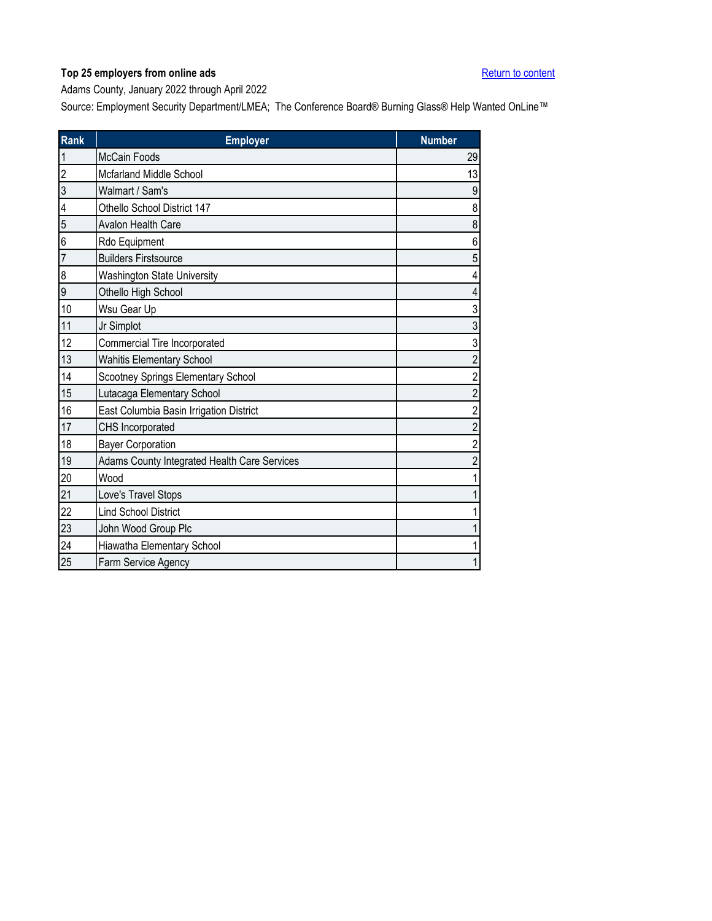<span id="page-2-0"></span>Adams County, January 2022 through April 2022

| Rank           | <b>Employer</b>                              | <b>Number</b>           |
|----------------|----------------------------------------------|-------------------------|
| $\mathbf 1$    | <b>McCain Foods</b>                          | 29                      |
| $\overline{2}$ | Mcfarland Middle School                      | 13                      |
| 3              | Walmart / Sam's                              | $9\,$                   |
| 4              | Othello School District 147                  | 8                       |
| 5              | Avalon Health Care                           | $\bf 8$                 |
| 6              | Rdo Equipment                                | $\,6\,$                 |
| $\overline{7}$ | <b>Builders Firstsource</b>                  | $\sqrt{5}$              |
| 8              | <b>Washington State University</b>           | 4                       |
| 9              | Othello High School                          | $\overline{4}$          |
| 10             | Wsu Gear Up                                  | 3                       |
| 11             | Jr Simplot                                   | $\mathfrak{S}$          |
| 12             | Commercial Tire Incorporated                 | 3                       |
| 13             | <b>Wahitis Elementary School</b>             | $\sqrt{2}$              |
| 14             | Scootney Springs Elementary School           | $\overline{c}$          |
| 15             | Lutacaga Elementary School                   | $\overline{c}$          |
| 16             | East Columbia Basin Irrigation District      | $\overline{\mathbf{c}}$ |
| 17             | CHS Incorporated                             | $\overline{c}$          |
| 18             | <b>Bayer Corporation</b>                     | $\overline{2}$          |
| 19             | Adams County Integrated Health Care Services | $\sqrt{2}$              |
| 20             | Wood                                         | 1                       |
| 21             | Love's Travel Stops                          | $\mathbf 1$             |
| 22             | <b>Lind School District</b>                  | 1                       |
| 23             | John Wood Group Plc                          | $\mathbf 1$             |
| 24             | Hiawatha Elementary School                   | 1                       |
| 25             | Farm Service Agency                          | 1                       |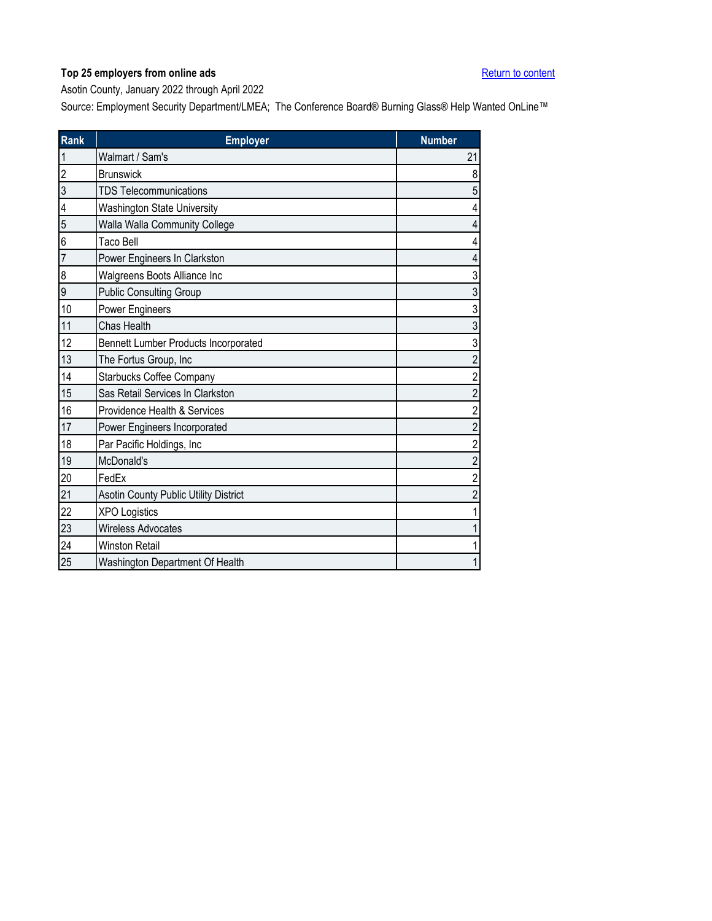<span id="page-3-0"></span>Asotin County, January 2022 through April 2022

| Rank             | <b>Employer</b>                       | <b>Number</b>            |
|------------------|---------------------------------------|--------------------------|
| 1                | Walmart / Sam's                       | 21                       |
| 2                | <b>Brunswick</b>                      | 8                        |
| 3                | <b>TDS Telecommunications</b>         | 5                        |
| 4                | <b>Washington State University</b>    | 4                        |
| 5                | Walla Walla Community College         | $\overline{4}$           |
| 6                | Taco Bell                             | 4                        |
| 7                | Power Engineers In Clarkston          | $\overline{\mathcal{L}}$ |
| $\boldsymbol{8}$ | Walgreens Boots Alliance Inc          | 3                        |
| 9                | <b>Public Consulting Group</b>        | $\mathfrak{S}$           |
| 10               | Power Engineers                       | 3                        |
| 11               | Chas Health                           | 3                        |
| 12               | Bennett Lumber Products Incorporated  | 3                        |
| 13               | The Fortus Group, Inc                 | $\overline{2}$           |
| 14               | <b>Starbucks Coffee Company</b>       | $\overline{c}$           |
| 15               | Sas Retail Services In Clarkston      | $\overline{c}$           |
| 16               | Providence Health & Services          | $\overline{\mathbf{c}}$  |
| 17               | Power Engineers Incorporated          | $\overline{c}$           |
| 18               | Par Pacific Holdings, Inc             | $\overline{c}$           |
| 19               | McDonald's                            | $\overline{c}$           |
| 20               | FedEx                                 | $\overline{c}$           |
| 21               | Asotin County Public Utility District | $\overline{\mathbf{c}}$  |
| 22               | <b>XPO Logistics</b>                  | $\mathbf 1$              |
| 23               | Wireless Advocates                    | $\mathbf{1}$             |
| 24               | <b>Winston Retail</b>                 | $\mathbf 1$              |
| 25               | Washington Department Of Health       | $\mathbf{1}$             |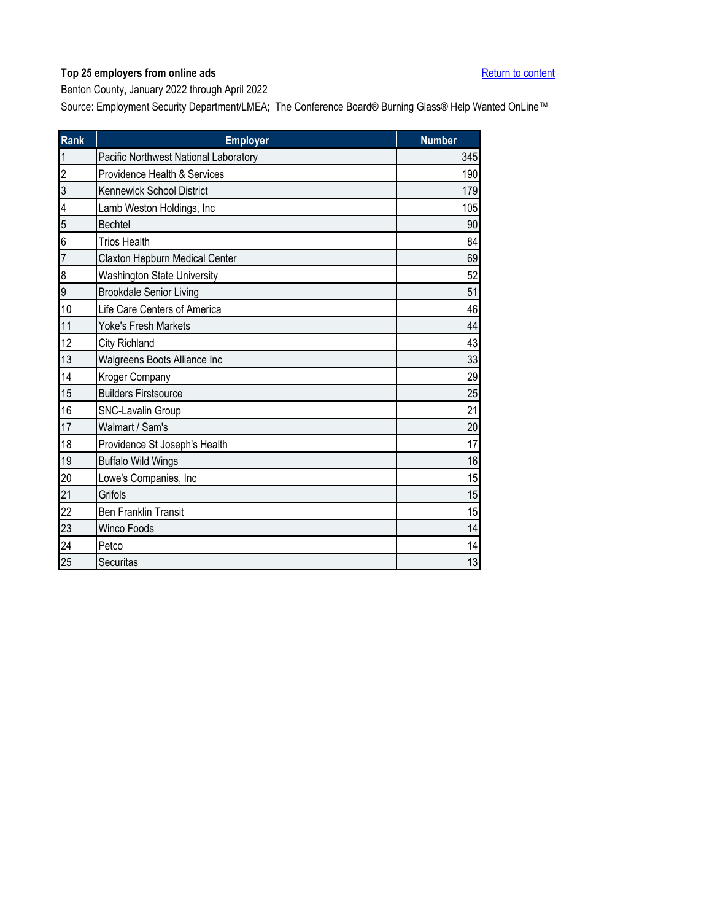<span id="page-4-0"></span>Benton County, January 2022 through April 2022

| <b>Rank</b>             | <b>Employer</b>                       | <b>Number</b> |
|-------------------------|---------------------------------------|---------------|
| 1                       | Pacific Northwest National Laboratory | 345           |
| $\overline{2}$          | Providence Health & Services          | 190           |
| 3                       | Kennewick School District             | 179           |
| $\overline{\mathbf{4}}$ | Lamb Weston Holdings, Inc             | 105           |
| 5                       | <b>Bechtel</b>                        | 90            |
| 6                       | <b>Trios Health</b>                   | 84            |
| $\overline{7}$          | Claxton Hepburn Medical Center        | 69            |
| 8                       | <b>Washington State University</b>    | 52            |
| 9                       | <b>Brookdale Senior Living</b>        | 51            |
| 10                      | Life Care Centers of America          | 46            |
| 11                      | <b>Yoke's Fresh Markets</b>           | 44            |
| 12                      | City Richland                         | 43            |
| 13                      | Walgreens Boots Alliance Inc          | 33            |
| 14                      | Kroger Company                        | 29            |
| 15                      | <b>Builders Firstsource</b>           | 25            |
| 16                      | SNC-Lavalin Group                     | 21            |
| 17                      | Walmart / Sam's                       | 20            |
| 18                      | Providence St Joseph's Health         | 17            |
| 19                      | <b>Buffalo Wild Wings</b>             | 16            |
| 20                      | Lowe's Companies, Inc                 | 15            |
| 21                      | Grifols                               | 15            |
| 22                      | Ben Franklin Transit                  | 15            |
| 23                      | <b>Winco Foods</b>                    | 14            |
| 24                      | Petco                                 | 14            |
| 25                      | Securitas                             | 13            |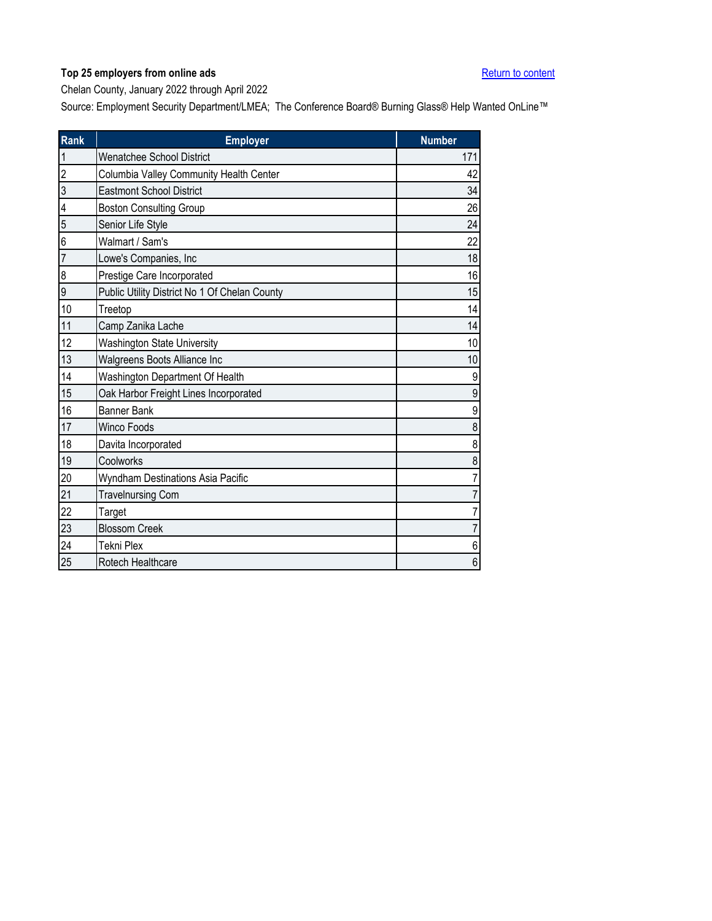<span id="page-5-0"></span>Chelan County, January 2022 through April 2022

| Rank           | <b>Employer</b>                               | <b>Number</b>    |
|----------------|-----------------------------------------------|------------------|
| $\mathbf{1}$   | <b>Wenatchee School District</b>              | 171              |
| $\overline{2}$ | Columbia Valley Community Health Center       | 42               |
| 3              | <b>Eastmont School District</b>               | 34               |
| 4              | <b>Boston Consulting Group</b>                | 26               |
| 5              | Senior Life Style                             | 24               |
| 6              | Walmart / Sam's                               | 22               |
| $\overline{7}$ | Lowe's Companies, Inc                         | 18               |
| 8              | Prestige Care Incorporated                    | 16               |
| 9              | Public Utility District No 1 Of Chelan County | 15               |
| 10             | Treetop                                       | 14               |
| 11             | Camp Zanika Lache                             | 14               |
| 12             | <b>Washington State University</b>            | 10               |
| 13             | Walgreens Boots Alliance Inc                  | 10               |
| 14             | Washington Department Of Health               | $\boldsymbol{9}$ |
| 15             | Oak Harbor Freight Lines Incorporated         | $\boldsymbol{9}$ |
| 16             | <b>Banner Bank</b>                            | $\boldsymbol{9}$ |
| 17             | <b>Winco Foods</b>                            | 8                |
| 18             | Davita Incorporated                           | 8                |
| 19             | Coolworks                                     | $\bf 8$          |
| 20             | Wyndham Destinations Asia Pacific             | $\overline{7}$   |
| 21             | <b>Travelnursing Com</b>                      | $\overline{7}$   |
| 22             | Target                                        | $\overline{7}$   |
| 23             | <b>Blossom Creek</b>                          | $\overline{7}$   |
| 24             | <b>Tekni Plex</b>                             | $\,6\,$          |
| 25             | Rotech Healthcare                             | $\,6$            |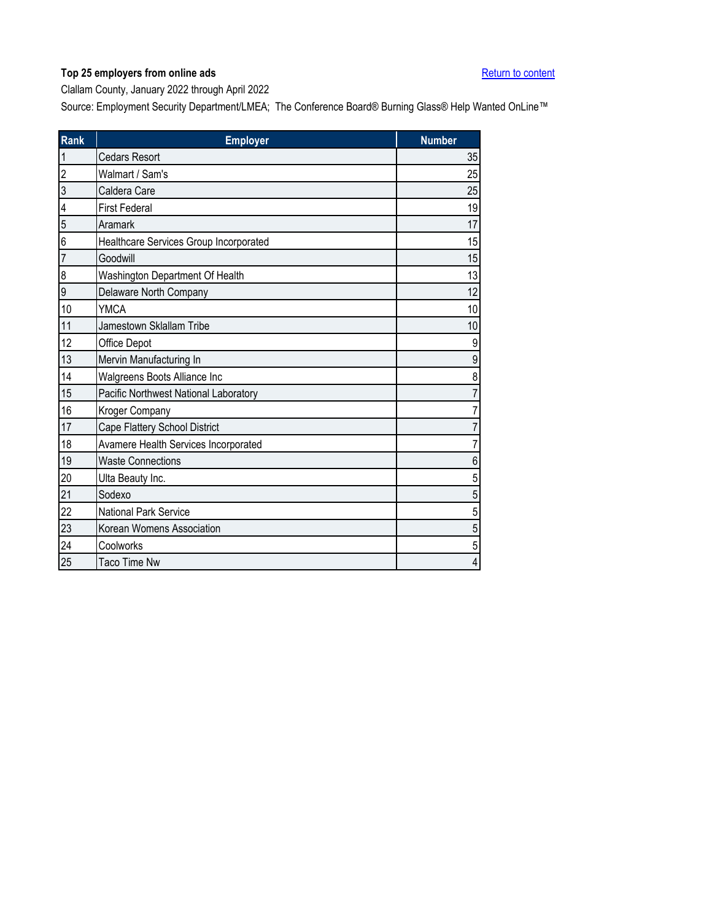<span id="page-6-0"></span>Clallam County, January 2022 through April 2022

| Rank           | <b>Employer</b>                        | <b>Number</b>  |
|----------------|----------------------------------------|----------------|
| 1              | <b>Cedars Resort</b>                   | 35             |
| $\overline{2}$ | Walmart / Sam's                        | 25             |
| 3              | Caldera Care                           | 25             |
| 4              | <b>First Federal</b>                   | 19             |
| 5              | Aramark                                | 17             |
| 6              | Healthcare Services Group Incorporated | 15             |
| $\overline{7}$ | Goodwill                               | 15             |
| 8              | Washington Department Of Health        | 13             |
| 9              | Delaware North Company                 | 12             |
| 10             | <b>YMCA</b>                            | 10             |
| 11             | Jamestown Sklallam Tribe               | 10             |
| 12             | Office Depot                           | 9              |
| 13             | Mervin Manufacturing In                | 9              |
| 14             | Walgreens Boots Alliance Inc           | 8              |
| 15             | Pacific Northwest National Laboratory  |                |
| 16             | Kroger Company                         | 7              |
| 17             | Cape Flattery School District          | 7              |
| 18             | Avamere Health Services Incorporated   | 7              |
| 19             | <b>Waste Connections</b>               | 6              |
| 20             | Ulta Beauty Inc.                       | 5              |
| 21             | Sodexo                                 | 5              |
| 22             | National Park Service                  | 5              |
| 23             | Korean Womens Association              | 5              |
| 24             | Coolworks                              | 5              |
| 25             | <b>Taco Time Nw</b>                    | $\overline{4}$ |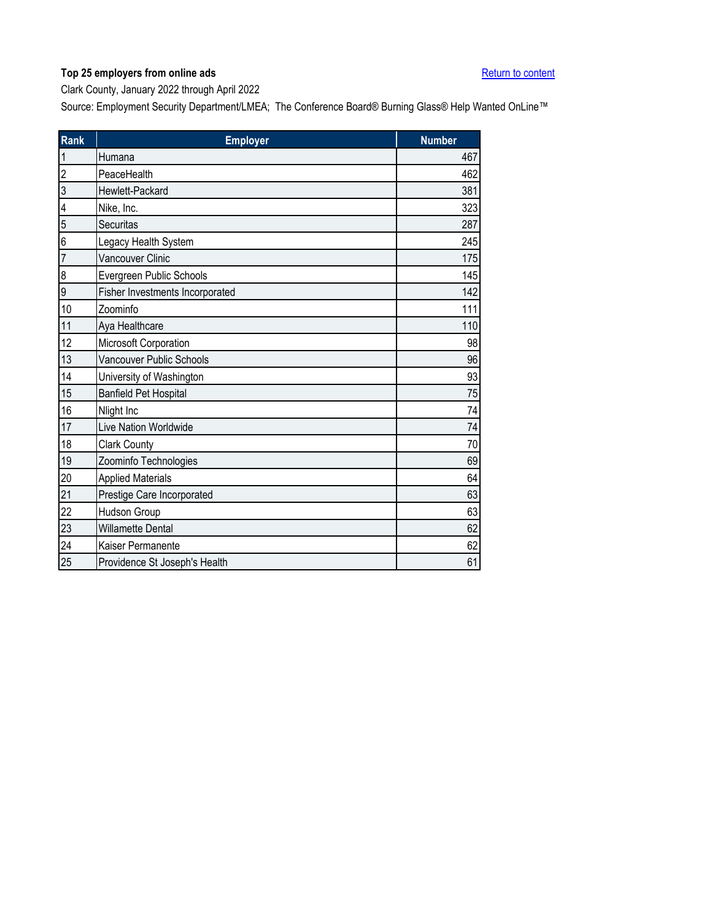<span id="page-7-0"></span>Clark County, January 2022 through April 2022

| Rank | <b>Employer</b>                 | <b>Number</b> |
|------|---------------------------------|---------------|
| 1    | Humana                          | 467           |
| 2    | PeaceHealth                     | 462           |
| 3    | Hewlett-Packard                 | 381           |
| 4    | Nike, Inc.                      | 323           |
| 5    | Securitas                       | 287           |
| 6    | Legacy Health System            | 245           |
| 7    | <b>Vancouver Clinic</b>         | 175           |
| 8    | Evergreen Public Schools        | 145           |
| 9    | Fisher Investments Incorporated | 142           |
| 10   | Zoominfo                        | 111           |
| 11   | Aya Healthcare                  | 110           |
| 12   | Microsoft Corporation           | 98            |
| 13   | Vancouver Public Schools        | 96            |
| 14   | University of Washington        | 93            |
| 15   | Banfield Pet Hospital           | 75            |
| 16   | Nlight Inc                      | 74            |
| 17   | Live Nation Worldwide           | 74            |
| 18   | <b>Clark County</b>             | 70            |
| 19   | Zoominfo Technologies           | 69            |
| 20   | <b>Applied Materials</b>        | 64            |
| 21   | Prestige Care Incorporated      | 63            |
| 22   | Hudson Group                    | 63            |
| 23   | <b>Willamette Dental</b>        | 62            |
| 24   | Kaiser Permanente               | 62            |
| 25   | Providence St Joseph's Health   | 61            |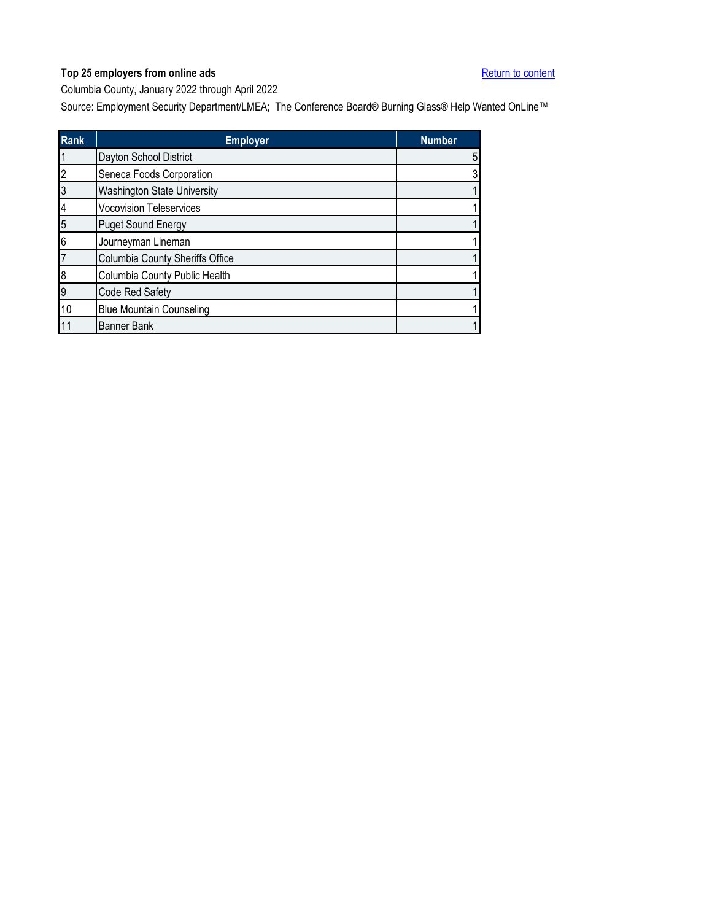<span id="page-8-0"></span>Columbia County, January 2022 through April 2022

| <b>Rank</b> | <b>Employer</b>                 | <b>Number</b> |
|-------------|---------------------------------|---------------|
|             | Dayton School District          | 5             |
| 2           | Seneca Foods Corporation        | 3             |
| 3           | Washington State University     |               |
| 4           | <b>Vocovision Teleservices</b>  |               |
| 5           | <b>Puget Sound Energy</b>       |               |
| 6           | Journeyman Lineman              |               |
|             | Columbia County Sheriffs Office |               |
| 8           | Columbia County Public Health   |               |
| 9           | Code Red Safety                 |               |
| 10          | <b>Blue Mountain Counseling</b> |               |
|             | <b>Banner Bank</b>              |               |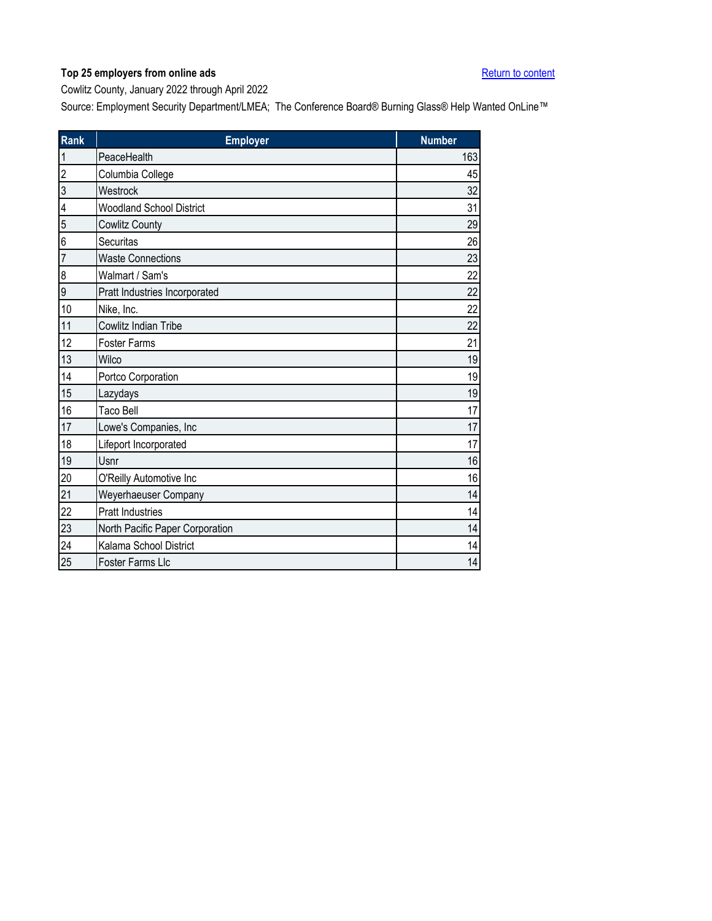<span id="page-9-0"></span>Cowlitz County, January 2022 through April 2022

| Rank | <b>Employer</b>                 | <b>Number</b> |
|------|---------------------------------|---------------|
| 1    | PeaceHealth                     | 163           |
| 2    | Columbia College                | 45            |
| 3    | Westrock                        | 32            |
| 4    | <b>Woodland School District</b> | 31            |
| 5    | Cowlitz County                  | 29            |
| 6    | Securitas                       | 26            |
| 7    | <b>Waste Connections</b>        | 23            |
| 8    | Walmart / Sam's                 | 22            |
| 9    | Pratt Industries Incorporated   | 22            |
| 10   | Nike, Inc.                      | 22            |
| 11   | Cowlitz Indian Tribe            | 22            |
| 12   | <b>Foster Farms</b>             | 21            |
| 13   | Wilco                           | 19            |
| 14   | Portco Corporation              | 19            |
| 15   | Lazydays                        | 19            |
| 16   | <b>Taco Bell</b>                | 17            |
| 17   | Lowe's Companies, Inc           | 17            |
| 18   | Lifeport Incorporated           | 17            |
| 19   | Usnr                            | 16            |
| 20   | O'Reilly Automotive Inc         | 16            |
| 21   | Weyerhaeuser Company            | 14            |
| 22   | <b>Pratt Industries</b>         | 14            |
| 23   | North Pacific Paper Corporation | 14            |
| 24   | Kalama School District          | 14            |
| 25   | Foster Farms Llc                | 14            |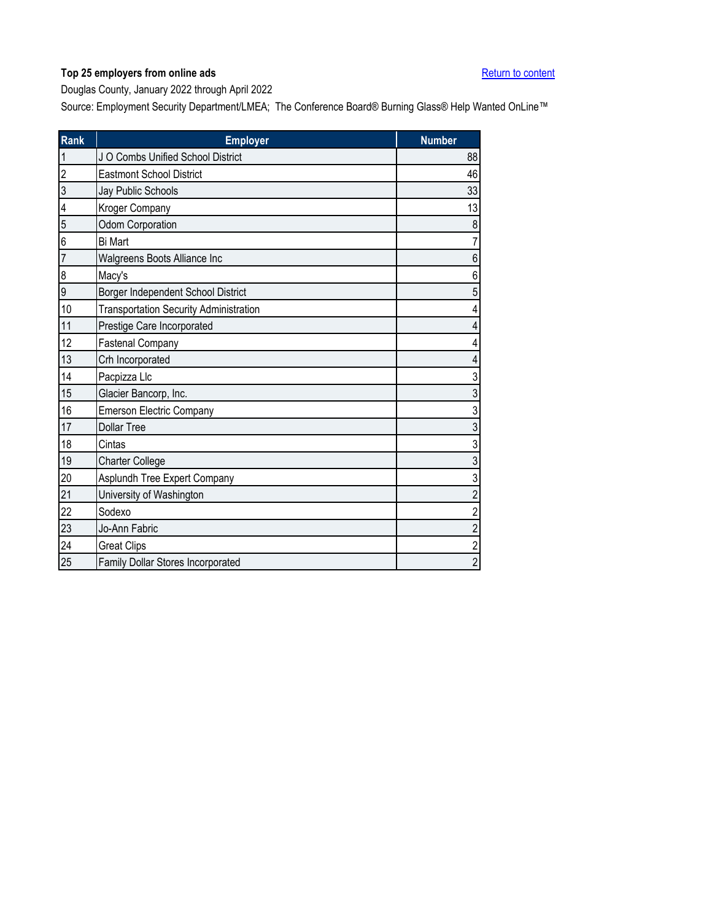<span id="page-10-0"></span>Douglas County, January 2022 through April 2022

| <b>Rank</b>    | <b>Employer</b>                               | <b>Number</b>           |
|----------------|-----------------------------------------------|-------------------------|
| $\mathbf 1$    | J O Combs Unified School District             | 88                      |
| $\overline{2}$ | <b>Eastmont School District</b>               | 46                      |
| 3              | Jay Public Schools                            | 33                      |
| 4              | Kroger Company                                | 13                      |
| 5              | Odom Corporation                              | 8                       |
| 6              | <b>Bi Mart</b>                                | $\overline{7}$          |
| $\overline{7}$ | Walgreens Boots Alliance Inc                  | $\,6$                   |
| 8              | Macy's                                        | 6                       |
| 9              | Borger Independent School District            | $\sqrt{5}$              |
| 10             | <b>Transportation Security Administration</b> | 4                       |
| 11             | Prestige Care Incorporated                    | $\overline{\mathbf{4}}$ |
| 12             | <b>Fastenal Company</b>                       | 4                       |
| 13             | Crh Incorporated                              | 4                       |
| 14             | Pacpizza Llc                                  | $\mathfrak{S}$          |
| 15             | Glacier Bancorp, Inc.                         | 3                       |
| 16             | <b>Emerson Electric Company</b>               | $\sqrt{3}$              |
| 17             | <b>Dollar Tree</b>                            | $\mathfrak{S}$          |
| 18             | Cintas                                        | $\overline{3}$          |
| 19             | <b>Charter College</b>                        | $\mathfrak{Z}$          |
| 20             | Asplundh Tree Expert Company                  | 3                       |
| 21             | University of Washington                      | $\overline{\mathbf{c}}$ |
| 22             | Sodexo                                        | $\overline{c}$          |
| 23             | Jo-Ann Fabric                                 | $\overline{c}$          |
| 24             | <b>Great Clips</b>                            | $\overline{c}$          |
| 25             | Family Dollar Stores Incorporated             | $\overline{c}$          |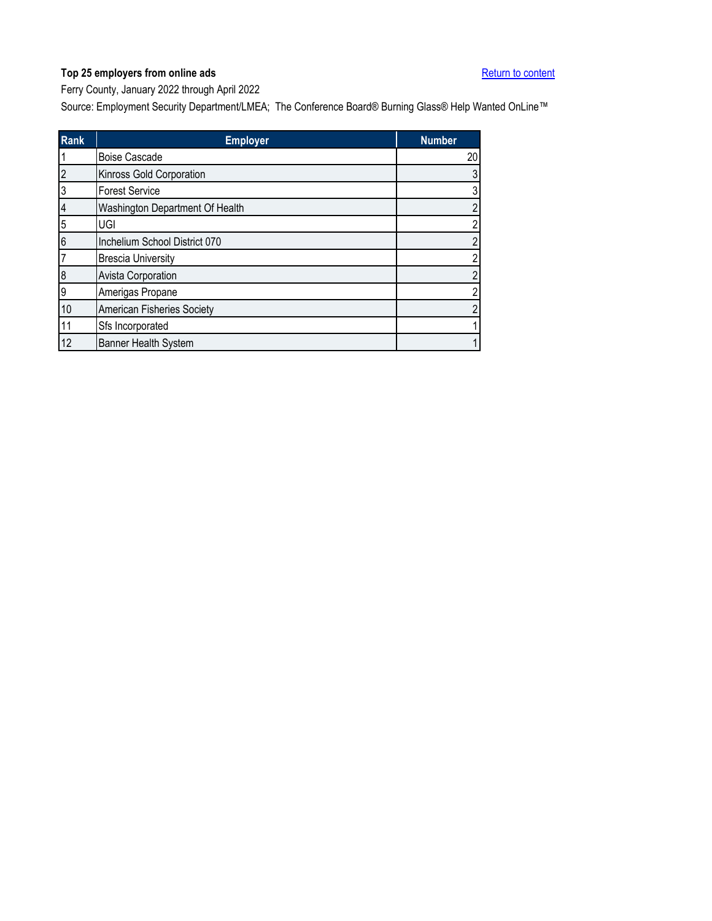<span id="page-11-0"></span>Ferry County, January 2022 through April 2022

| <b>Rank</b>    | <b>Employer</b>                 | <b>Number</b>  |
|----------------|---------------------------------|----------------|
|                | <b>Boise Cascade</b>            | 20             |
| $\overline{2}$ | Kinross Gold Corporation        | 3              |
| 3              | <b>Forest Service</b>           | 3              |
| 4              | Washington Department Of Health | $\overline{2}$ |
| 5              | UGI                             | $\overline{2}$ |
| 6              | Inchelium School District 070   | $\overline{2}$ |
| 7              | <b>Brescia University</b>       | $\overline{2}$ |
| 8              | Avista Corporation              | $\overline{2}$ |
| 9              | Amerigas Propane                | $\overline{2}$ |
| 10             | American Fisheries Society      | $\overline{2}$ |
| 11             | Sfs Incorporated                |                |
| 12             | <b>Banner Health System</b>     |                |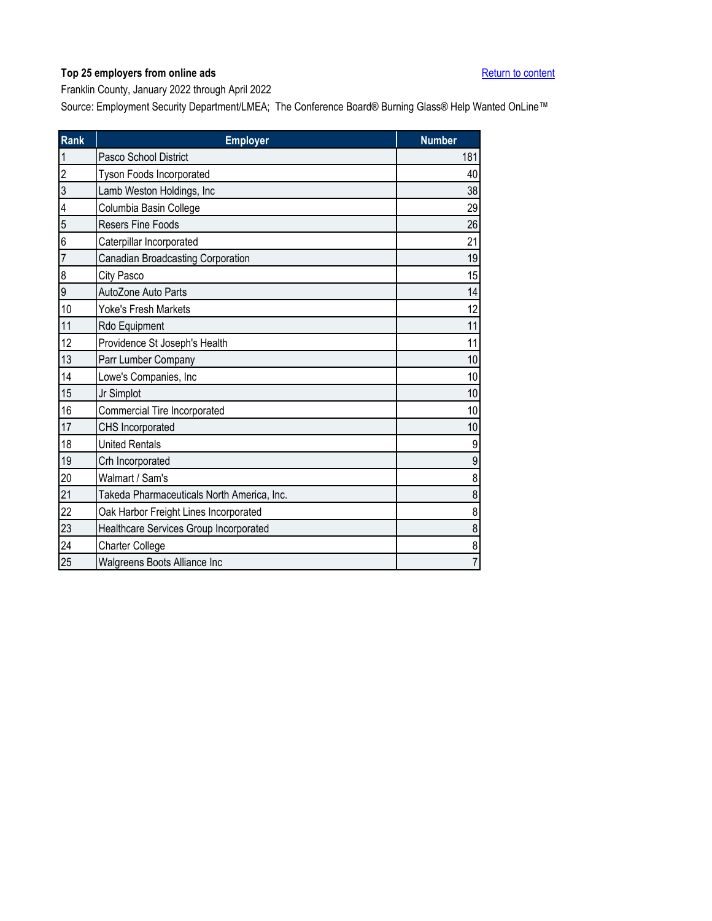<span id="page-12-0"></span>Franklin County, January 2022 through April 2022

| <b>Rank</b>    | <b>Employer</b>                            | <b>Number</b>  |
|----------------|--------------------------------------------|----------------|
| $\mathbf{1}$   | Pasco School District                      | 181            |
| $\overline{2}$ | <b>Tyson Foods Incorporated</b>            | 40             |
| $\overline{3}$ | Lamb Weston Holdings, Inc                  | 38             |
| 4              | Columbia Basin College                     | 29             |
| 5              | Resers Fine Foods                          | 26             |
| 6              | Caterpillar Incorporated                   | 21             |
| $\overline{7}$ | Canadian Broadcasting Corporation          | 19             |
| 8              | City Pasco                                 | 15             |
| 9              | AutoZone Auto Parts                        | 14             |
| 10             | <b>Yoke's Fresh Markets</b>                | 12             |
| 11             | Rdo Equipment                              | 11             |
| 12             | Providence St Joseph's Health              | 11             |
| 13             | Parr Lumber Company                        | 10             |
| 14             | Lowe's Companies, Inc                      | 10             |
| 15             | Jr Simplot                                 | 10             |
| 16             | Commercial Tire Incorporated               | 10             |
| 17             | CHS Incorporated                           | 10             |
| 18             | <b>United Rentals</b>                      | 9              |
| 19             | Crh Incorporated                           | 9              |
| 20             | Walmart / Sam's                            | 8              |
| 21             | Takeda Pharmaceuticals North America, Inc. | 8              |
| 22             | Oak Harbor Freight Lines Incorporated      | 8              |
| 23             | Healthcare Services Group Incorporated     | 8              |
| 24             | <b>Charter College</b>                     | 8              |
| 25             | Walgreens Boots Alliance Inc               | $\overline{7}$ |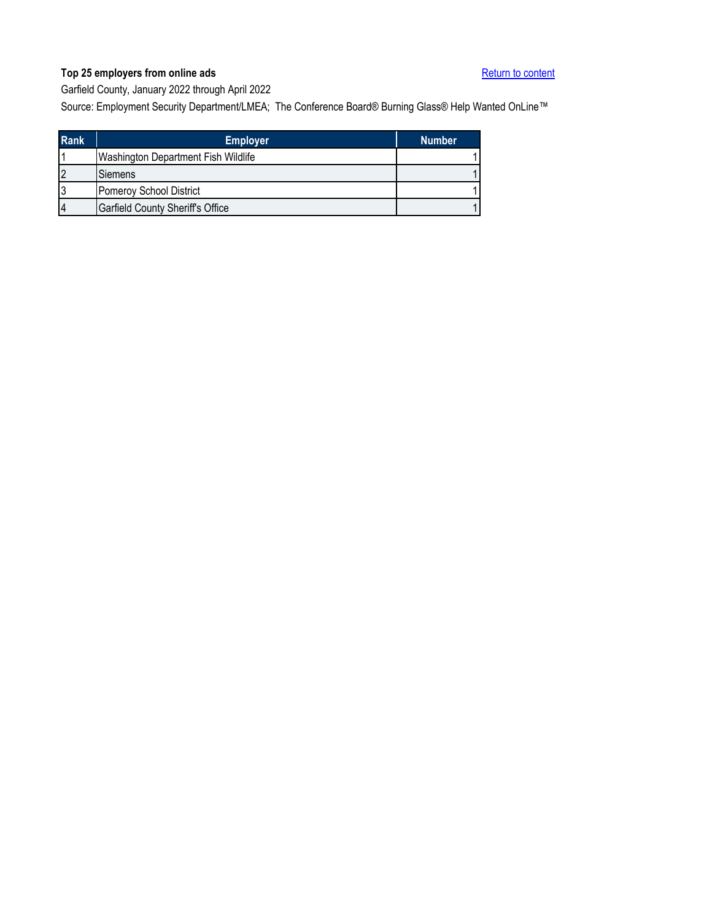<span id="page-13-0"></span>Garfield County, January 2022 through April 2022

| <b>Rank</b>    | <b>Employer</b>                            | <b>Number</b> |
|----------------|--------------------------------------------|---------------|
|                | <b>Washington Department Fish Wildlife</b> |               |
| $\overline{2}$ | Siemens                                    |               |
| 3              | Pomeroy School District                    |               |
| 14             | <b>Garfield County Sheriff's Office</b>    |               |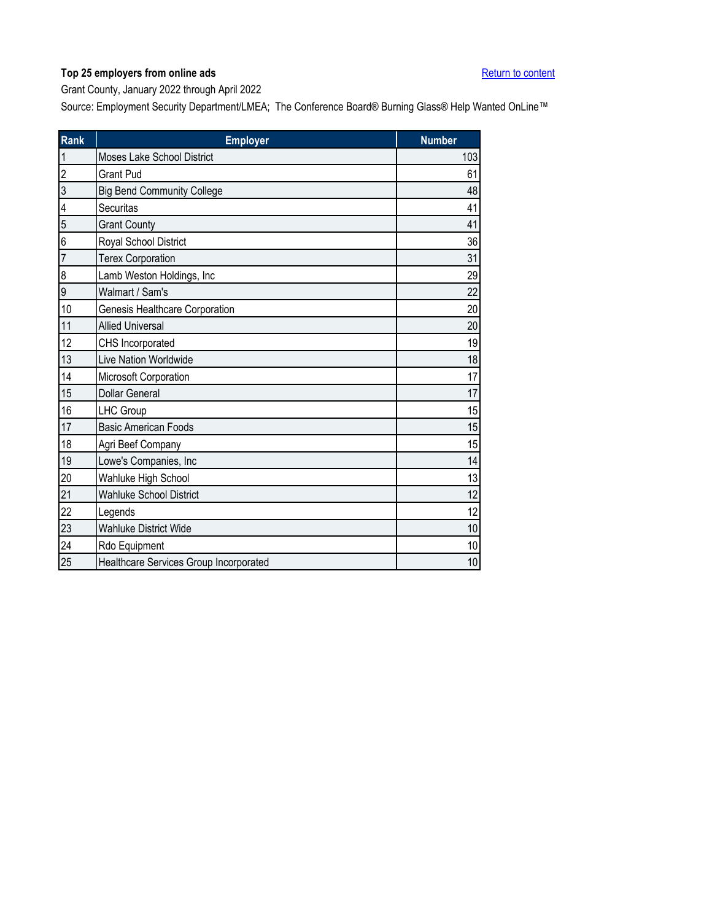<span id="page-14-0"></span>Grant County, January 2022 through April 2022

| Rank           | <b>Employer</b>                        | <b>Number</b> |
|----------------|----------------------------------------|---------------|
| $\mathbf{1}$   | Moses Lake School District             | 103           |
| $\overline{2}$ | <b>Grant Pud</b>                       | 61            |
| 3              | <b>Big Bend Community College</b>      | 48            |
| 4              | Securitas                              | 41            |
| 5              | <b>Grant County</b>                    | 41            |
| 6              | Royal School District                  | 36            |
| $\overline{7}$ | <b>Terex Corporation</b>               | 31            |
| 8              | Lamb Weston Holdings, Inc              | 29            |
| $\overline{9}$ | Walmart / Sam's                        | 22            |
| 10             | Genesis Healthcare Corporation         | 20            |
| 11             | <b>Allied Universal</b>                | 20            |
| 12             | CHS Incorporated                       | 19            |
| 13             | Live Nation Worldwide                  | 18            |
| 14             | Microsoft Corporation                  | 17            |
| 15             | <b>Dollar General</b>                  | 17            |
| 16             | LHC Group                              | 15            |
| 17             | <b>Basic American Foods</b>            | 15            |
| 18             | Agri Beef Company                      | 15            |
| 19             | Lowe's Companies, Inc                  | 14            |
| 20             | Wahluke High School                    | 13            |
| 21             | <b>Wahluke School District</b>         | 12            |
| 22             | Legends                                | 12            |
| 23             | <b>Wahluke District Wide</b>           | 10            |
| 24             | Rdo Equipment                          | 10            |
| 25             | Healthcare Services Group Incorporated | 10            |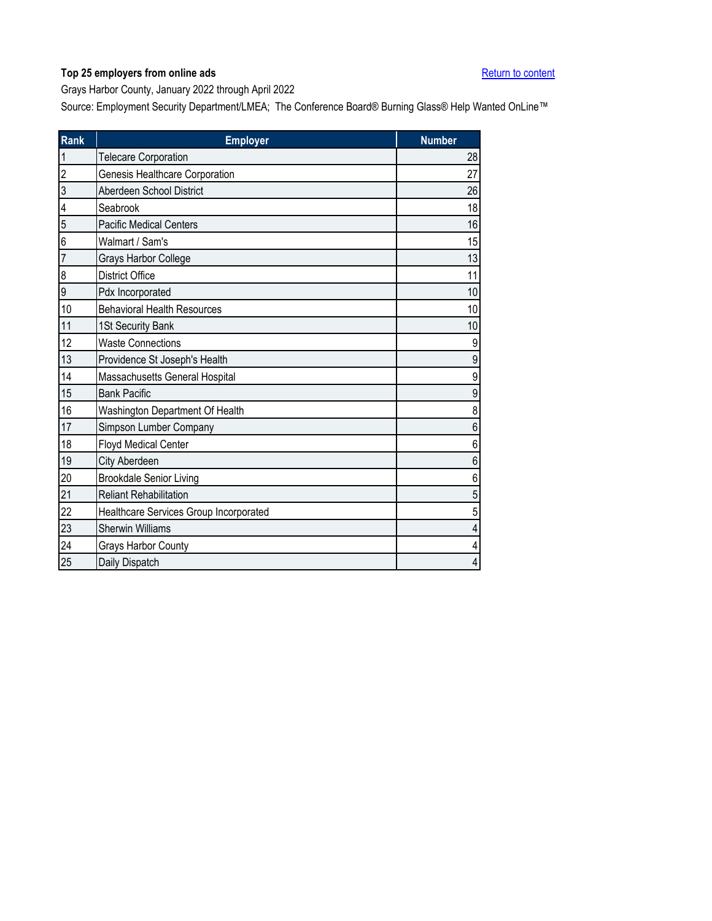<span id="page-15-0"></span>Grays Harbor County, January 2022 through April 2022

| Rank | <b>Employer</b>                        | <b>Number</b>    |
|------|----------------------------------------|------------------|
|      | <b>Telecare Corporation</b>            | 28               |
| 2    | Genesis Healthcare Corporation         | 27               |
| 3    | Aberdeen School District               | 26               |
| 4    | Seabrook                               | 18               |
| 5    | <b>Pacific Medical Centers</b>         | 16               |
| 6    | Walmart / Sam's                        | 15               |
| 7    | Grays Harbor College                   | 13               |
| 8    | <b>District Office</b>                 | 11               |
| 9    | Pdx Incorporated                       | 10               |
| 10   | <b>Behavioral Health Resources</b>     | 10               |
| 11   | 1St Security Bank                      | 10               |
| 12   | <b>Waste Connections</b>               | $\boldsymbol{9}$ |
| 13   | Providence St Joseph's Health          | 9                |
| 14   | Massachusetts General Hospital         | 9                |
| 15   | <b>Bank Pacific</b>                    | 9                |
| 16   | Washington Department Of Health        | 8                |
| 17   | Simpson Lumber Company                 | 6                |
| 18   | <b>Floyd Medical Center</b>            | 6                |
| 19   | City Aberdeen                          | 6                |
| 20   | <b>Brookdale Senior Living</b>         | 6                |
| 21   | <b>Reliant Rehabilitation</b>          | 5                |
| 22   | Healthcare Services Group Incorporated | 5                |
| 23   | <b>Sherwin Williams</b>                | $\overline{4}$   |
| 24   | Grays Harbor County                    | 4                |
| 25   | Daily Dispatch                         | $\overline{4}$   |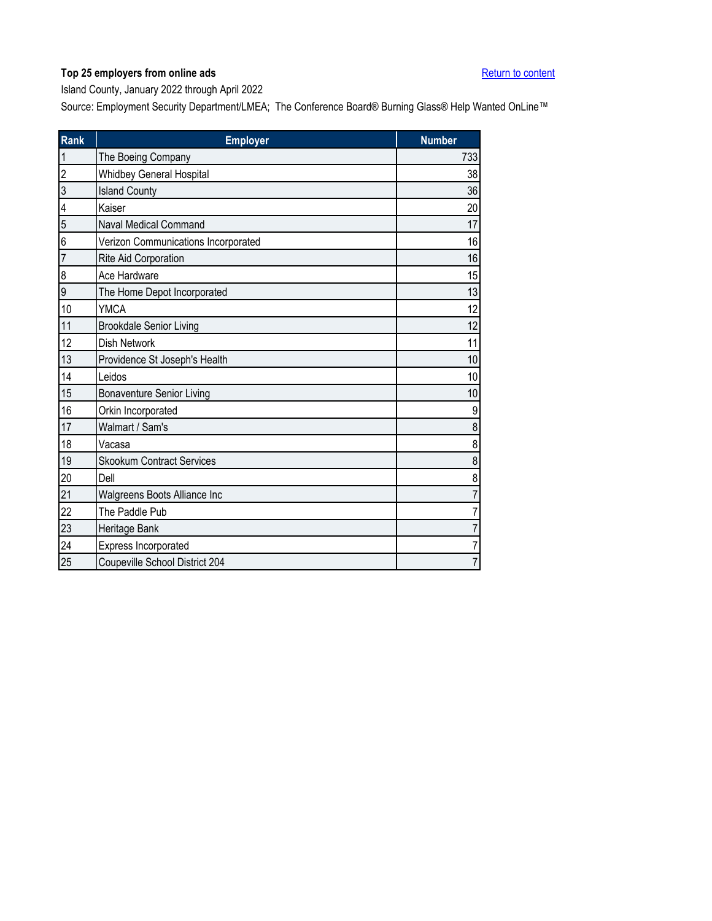<span id="page-16-0"></span>Island County, January 2022 through April 2022

| Rank           | <b>Employer</b>                     | <b>Number</b>  |
|----------------|-------------------------------------|----------------|
| 1              | The Boeing Company                  | 733            |
| $\overline{c}$ | <b>Whidbey General Hospital</b>     | 38             |
| 3              | <b>Island County</b>                | 36             |
| 4              | Kaiser                              | 20             |
| 5              | <b>Naval Medical Command</b>        | 17             |
| 6              | Verizon Communications Incorporated | 16             |
| $\overline{7}$ | Rite Aid Corporation                | 16             |
| 8              | Ace Hardware                        | 15             |
| 9              | The Home Depot Incorporated         | 13             |
| 10             | <b>YMCA</b>                         | 12             |
| 11             | <b>Brookdale Senior Living</b>      | 12             |
| 12             | <b>Dish Network</b>                 | 11             |
| 13             | Providence St Joseph's Health       | 10             |
| 14             | Leidos                              | 10             |
| 15             | <b>Bonaventure Senior Living</b>    | 10             |
| 16             | Orkin Incorporated                  | 9              |
| 17             | Walmart / Sam's                     | 8              |
| 18             | Vacasa                              | 8              |
| 19             | <b>Skookum Contract Services</b>    | 8              |
| 20             | Dell                                | 8              |
| 21             | Walgreens Boots Alliance Inc        | $\overline{7}$ |
| 22             | The Paddle Pub                      | 7              |
| 23             | Heritage Bank                       | 7              |
| 24             | Express Incorporated                | $\overline{7}$ |
| 25             | Coupeville School District 204      | $\overline{7}$ |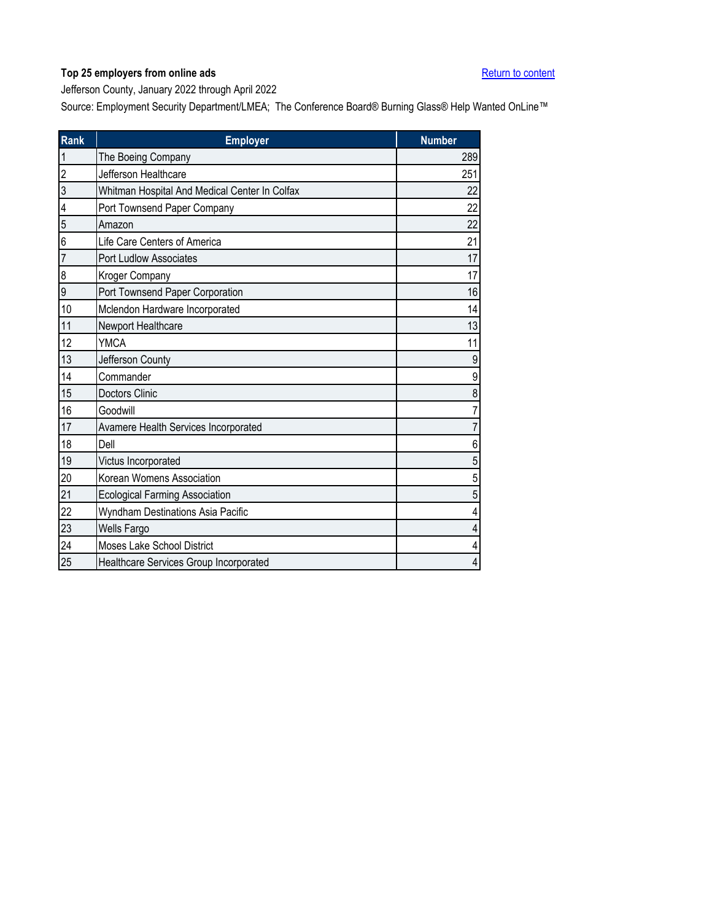<span id="page-17-0"></span>Jefferson County, January 2022 through April 2022

| <b>Rank</b>    | <b>Employer</b>                               | <b>Number</b> |
|----------------|-----------------------------------------------|---------------|
| $\mathbf{1}$   | The Boeing Company                            | 289           |
| $\overline{2}$ | Jefferson Healthcare                          | 251           |
| 3              | Whitman Hospital And Medical Center In Colfax | 22            |
| 4              | Port Townsend Paper Company                   | 22            |
| 5              | Amazon                                        | 22            |
| 6              | Life Care Centers of America                  | 21            |
| $\overline{7}$ | Port Ludlow Associates                        | 17            |
| 8              | Kroger Company                                | 17            |
| 9              | Port Townsend Paper Corporation               | 16            |
| 10             | Mclendon Hardware Incorporated                | 14            |
| 11             | Newport Healthcare                            | 13            |
| 12             | <b>YMCA</b>                                   | 11            |
| 13             | Jefferson County                              | 9             |
| 14             | Commander                                     | 9             |
| 15             | Doctors Clinic                                | 8             |
| 16             | Goodwill                                      | 7             |
| 17             | Avamere Health Services Incorporated          | 7             |
| 18             | Dell                                          | 6             |
| 19             | Victus Incorporated                           | 5             |
| 20             | Korean Womens Association                     | 5             |
| 21             | <b>Ecological Farming Association</b>         | 5             |
| 22             | Wyndham Destinations Asia Pacific             | 4             |
| 23             | Wells Fargo                                   | 4             |
| 24             | Moses Lake School District                    | 4             |
| 25             | Healthcare Services Group Incorporated        | 4             |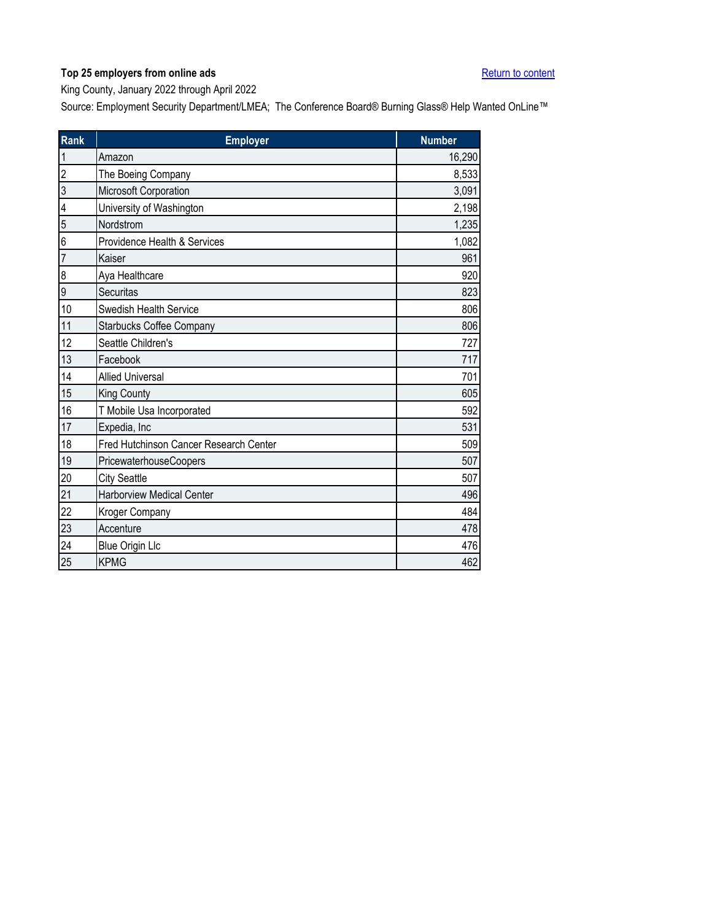<span id="page-18-0"></span>King County, January 2022 through April 2022

| Rank           | <b>Employer</b>                        | <b>Number</b> |
|----------------|----------------------------------------|---------------|
| 1              | Amazon                                 | 16,290        |
| $\overline{2}$ | The Boeing Company                     | 8,533         |
| 3              | Microsoft Corporation                  | 3,091         |
| 4              | University of Washington               | 2,198         |
| 5              | Nordstrom                              | 1,235         |
| 6              | Providence Health & Services           | 1,082         |
| $\overline{7}$ | Kaiser                                 | 961           |
| 8              | Aya Healthcare                         | 920           |
| $\overline{9}$ | Securitas                              | 823           |
| 10             | Swedish Health Service                 | 806           |
| 11             | <b>Starbucks Coffee Company</b>        | 806           |
| 12             | Seattle Children's                     | 727           |
| 13             | Facebook                               | 717           |
| 14             | <b>Allied Universal</b>                | 701           |
| 15             | King County                            | 605           |
| 16             | T Mobile Usa Incorporated              | 592           |
| 17             | Expedia, Inc                           | 531           |
| 18             | Fred Hutchinson Cancer Research Center | 509           |
| 19             | PricewaterhouseCoopers                 | 507           |
| 20             | <b>City Seattle</b>                    | 507           |
| 21             | <b>Harborview Medical Center</b>       | 496           |
| 22             | Kroger Company                         | 484           |
| 23             | Accenture                              | 478           |
| 24             | <b>Blue Origin Llc</b>                 | 476           |
| 25             | <b>KPMG</b>                            | 462           |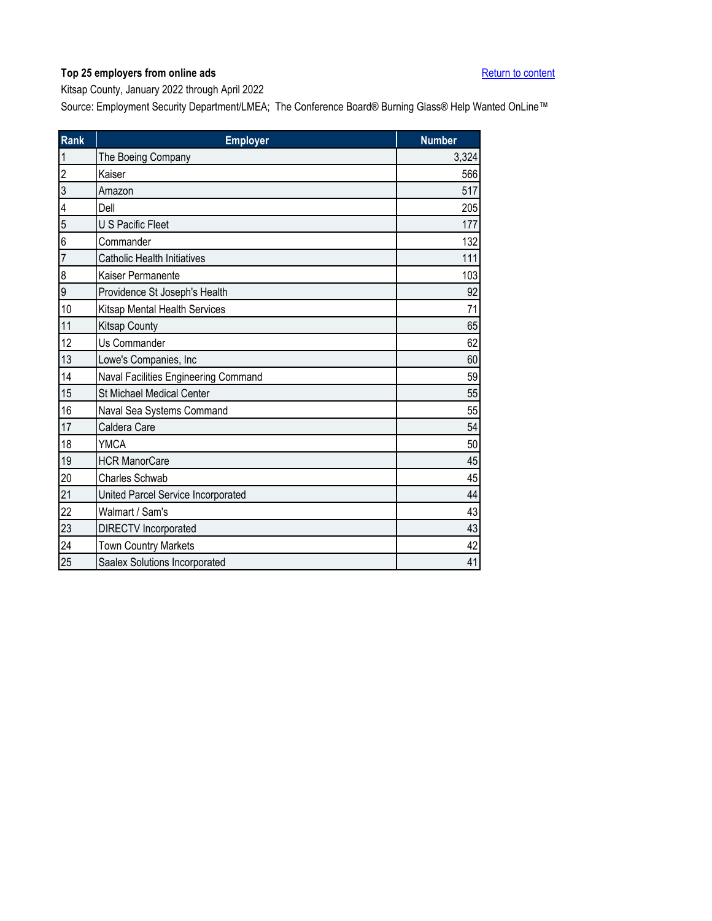<span id="page-19-0"></span>Kitsap County, January 2022 through April 2022

| Rank | <b>Employer</b>                      | <b>Number</b> |
|------|--------------------------------------|---------------|
| 1    | The Boeing Company                   | 3,324         |
| 2    | Kaiser                               | 566           |
| 3    | Amazon                               | 517           |
| 4    | Dell                                 | 205           |
| 5    | <b>U S Pacific Fleet</b>             | 177           |
| 6    | Commander                            | 132           |
| 7    | <b>Catholic Health Initiatives</b>   | 111           |
| 8    | Kaiser Permanente                    | 103           |
| 9    | Providence St Joseph's Health        | 92            |
| 10   | <b>Kitsap Mental Health Services</b> | 71            |
| 11   | <b>Kitsap County</b>                 | 65            |
| 12   | Us Commander                         | 62            |
| 13   | Lowe's Companies, Inc                | 60            |
| 14   | Naval Facilities Engineering Command | 59            |
| 15   | <b>St Michael Medical Center</b>     | 55            |
| 16   | Naval Sea Systems Command            | 55            |
| 17   | Caldera Care                         | 54            |
| 18   | <b>YMCA</b>                          | 50            |
| 19   | <b>HCR ManorCare</b>                 | 45            |
| 20   | <b>Charles Schwab</b>                | 45            |
| 21   | United Parcel Service Incorporated   | 44            |
| 22   | Walmart / Sam's                      | 43            |
| 23   | <b>DIRECTV</b> Incorporated          | 43            |
| 24   | <b>Town Country Markets</b>          | 42            |
| 25   | Saalex Solutions Incorporated        | 41            |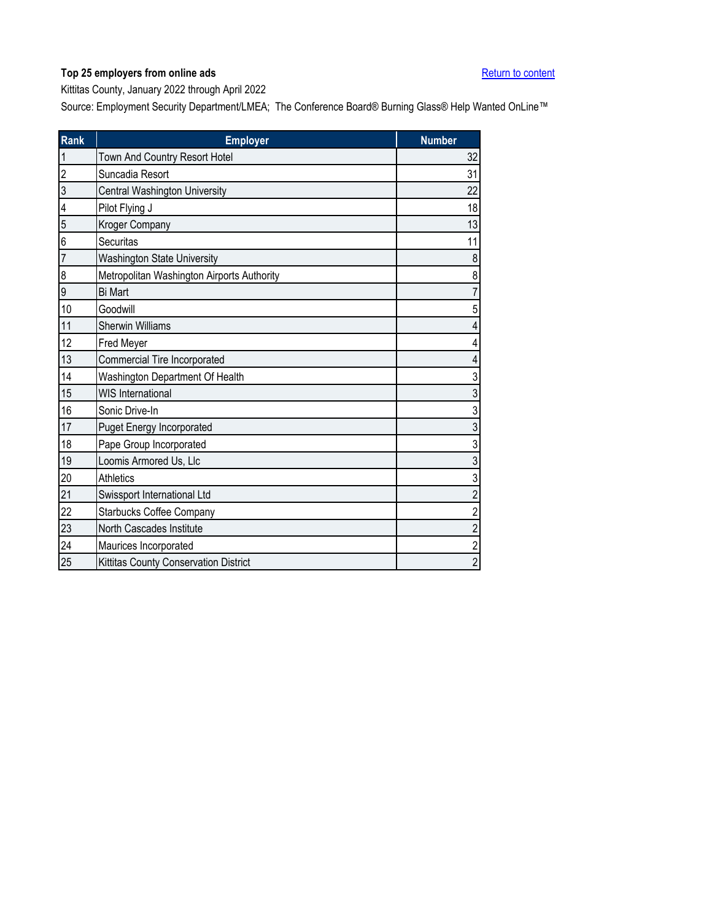<span id="page-20-0"></span>Kittitas County, January 2022 through April 2022

| <b>Rank</b>             | <b>Employer</b>                            | <b>Number</b>           |
|-------------------------|--------------------------------------------|-------------------------|
| 1                       | Town And Country Resort Hotel              | 32                      |
| $\overline{2}$          | Suncadia Resort                            | 31                      |
| 3                       | Central Washington University              | 22                      |
| $\overline{\mathbf{4}}$ | Pilot Flying J                             | 18                      |
| 5                       | Kroger Company                             | 13                      |
| 6                       | Securitas                                  | 11                      |
| $\overline{7}$          | <b>Washington State University</b>         | $\,8\,$                 |
| 8                       | Metropolitan Washington Airports Authority | 8                       |
| 9                       | <b>Bi Mart</b>                             | $\overline{7}$          |
| 10                      | Goodwill                                   | 5                       |
| 11                      | <b>Sherwin Williams</b>                    | 4                       |
| 12                      | Fred Meyer                                 | $\overline{\mathbf{4}}$ |
| 13                      | Commercial Tire Incorporated               | $\overline{4}$          |
| 14                      | Washington Department Of Health            | 3                       |
| 15                      | <b>WIS International</b>                   | $\sqrt{3}$              |
| 16                      | Sonic Drive-In                             | $\mathfrak{S}$          |
| 17                      | <b>Puget Energy Incorporated</b>           | $\mathfrak{S}$          |
| 18                      | Pape Group Incorporated                    | $\overline{3}$          |
| 19                      | Loomis Armored Us, Llc                     | $\mathfrak{S}$          |
| 20                      | <b>Athletics</b>                           | $\mathfrak{S}$          |
| 21                      | Swissport International Ltd                | $\overline{2}$          |
| 22                      | <b>Starbucks Coffee Company</b>            | $\sqrt{2}$              |
| 23                      | North Cascades Institute                   | $\overline{c}$          |
| 24                      | Maurices Incorporated                      | $\overline{2}$          |
| 25                      | Kittitas County Conservation District      | $\overline{2}$          |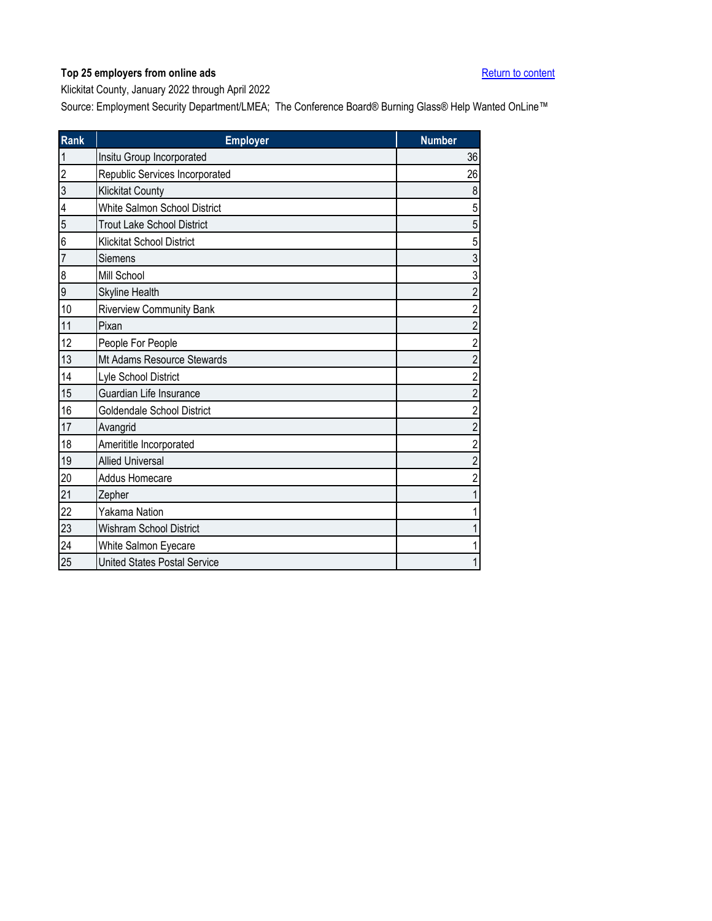<span id="page-21-0"></span>Klickitat County, January 2022 through April 2022

| Rank           | <b>Employer</b>                     | <b>Number</b>           |
|----------------|-------------------------------------|-------------------------|
| $\mathbf 1$    | Insitu Group Incorporated           | 36                      |
| $\overline{2}$ | Republic Services Incorporated      | 26                      |
| 3              | <b>Klickitat County</b>             | 8                       |
| 4              | White Salmon School District        | $\sqrt{5}$              |
| 5              | <b>Trout Lake School District</b>   | $\sqrt{5}$              |
| 6              | <b>Klickitat School District</b>    | $\sqrt{5}$              |
| $\overline{7}$ | Siemens                             | $\sqrt{3}$              |
| 8              | Mill School                         | 3                       |
| 9              | Skyline Health                      | $\overline{c}$          |
| 10             | <b>Riverview Community Bank</b>     | $\overline{2}$          |
| 11             | Pixan                               | $\overline{c}$          |
| 12             | People For People                   | $\overline{c}$          |
| 13             | Mt Adams Resource Stewards          | $\overline{2}$          |
| 14             | Lyle School District                | $\overline{2}$          |
| 15             | Guardian Life Insurance             | $\overline{\mathbf{c}}$ |
| 16             | Goldendale School District          | $\overline{2}$          |
| 17             | Avangrid                            | $\overline{2}$          |
| 18             | Amerititle Incorporated             | $\sqrt{2}$              |
| 19             | <b>Allied Universal</b>             | $\overline{c}$          |
| 20             | <b>Addus Homecare</b>               | $\overline{\mathbf{c}}$ |
| 21             | Zepher                              | 1                       |
| 22             | Yakama Nation                       | 1                       |
| 23             | <b>Wishram School District</b>      | 1                       |
| 24             | White Salmon Eyecare                | 1                       |
| 25             | <b>United States Postal Service</b> | $\mathbf 1$             |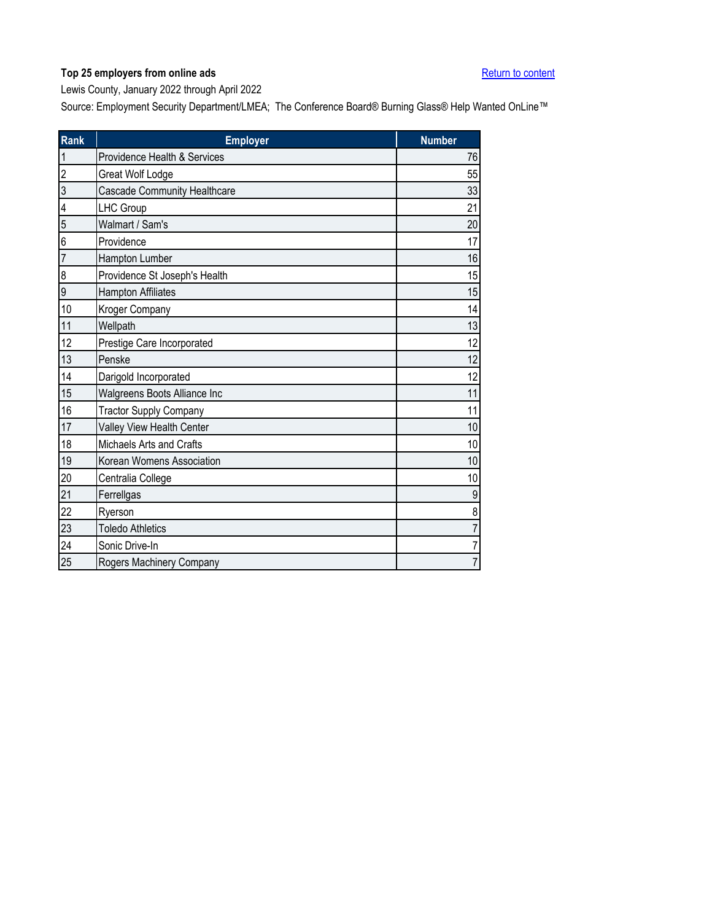<span id="page-22-0"></span>Lewis County, January 2022 through April 2022

| <b>Rank</b>    | <b>Employer</b>                     | <b>Number</b>  |
|----------------|-------------------------------------|----------------|
| $\mathbf{1}$   | Providence Health & Services        | 76             |
| $\overline{2}$ | Great Wolf Lodge                    | 55             |
| 3              | <b>Cascade Community Healthcare</b> | 33             |
| 4              | LHC Group                           | 21             |
| 5              | Walmart / Sam's                     | 20             |
| 6              | Providence                          | 17             |
| $\overline{7}$ | Hampton Lumber                      | 16             |
| 8              | Providence St Joseph's Health       | 15             |
| 9              | <b>Hampton Affiliates</b>           | 15             |
| 10             | Kroger Company                      | 14             |
| 11             | Wellpath                            | 13             |
| 12             | Prestige Care Incorporated          | 12             |
| 13             | Penske                              | 12             |
| 14             | Darigold Incorporated               | 12             |
| 15             | Walgreens Boots Alliance Inc        | 11             |
| 16             | <b>Tractor Supply Company</b>       | 11             |
| 17             | Valley View Health Center           | 10             |
| 18             | Michaels Arts and Crafts            | 10             |
| 19             | Korean Womens Association           | 10             |
| 20             | Centralia College                   | 10             |
| 21             | Ferrellgas                          | 9              |
| 22             | Ryerson                             | 8              |
| 23             | <b>Toledo Athletics</b>             | $\overline{7}$ |
| 24             | Sonic Drive-In                      | $\overline{7}$ |
| 25             | Rogers Machinery Company            | $\overline{7}$ |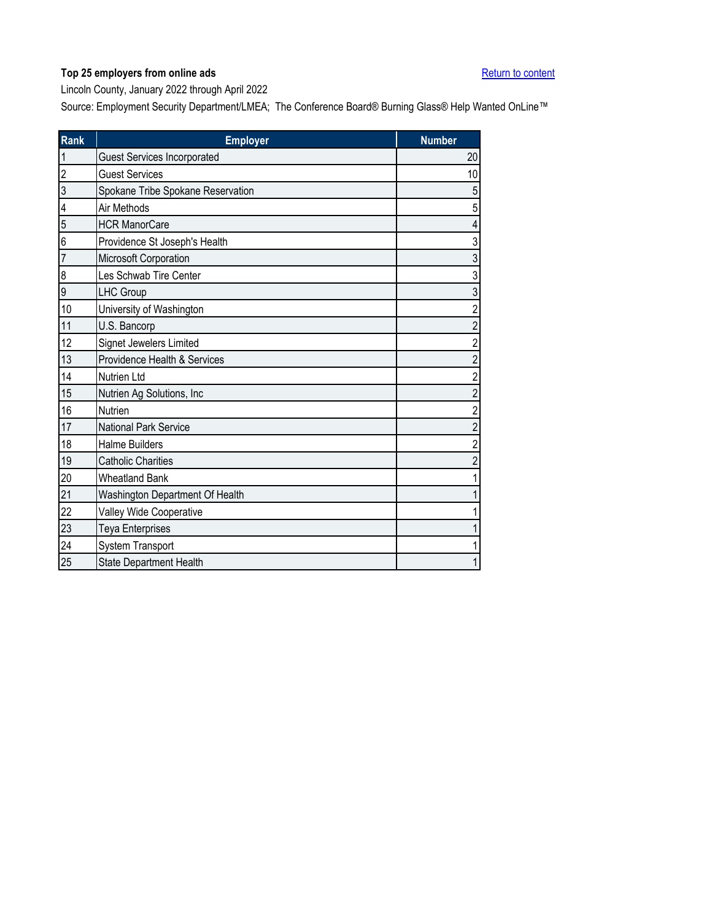<span id="page-23-0"></span>Lincoln County, January 2022 through April 2022

| <b>Rank</b>             | <b>Employer</b>                    | <b>Number</b>           |
|-------------------------|------------------------------------|-------------------------|
| 1                       | <b>Guest Services Incorporated</b> | 20                      |
| $\overline{2}$          | <b>Guest Services</b>              | 10                      |
| 3                       | Spokane Tribe Spokane Reservation  | $\sqrt{5}$              |
| $\overline{\mathbf{4}}$ | Air Methods                        | $\overline{5}$          |
| 5                       | <b>HCR ManorCare</b>               | $\overline{4}$          |
| 6                       | Providence St Joseph's Health      | $\sqrt{3}$              |
| $\overline{7}$          | Microsoft Corporation              | $\mathfrak{Z}$          |
| 8                       | Les Schwab Tire Center             | 3                       |
| 9                       | <b>LHC Group</b>                   | $\sqrt{3}$              |
| 10                      | University of Washington           | $\overline{\mathbf{c}}$ |
| 11                      | U.S. Bancorp                       | $\overline{c}$          |
| 12                      | Signet Jewelers Limited            | $\overline{c}$          |
| 13                      | Providence Health & Services       | $\overline{c}$          |
| 14                      | Nutrien Ltd                        | $\overline{2}$          |
| 15                      | Nutrien Ag Solutions, Inc.         | $\overline{\mathbf{c}}$ |
| 16                      | Nutrien                            | $\overline{c}$          |
| 17                      | <b>National Park Service</b>       | $\overline{\mathbf{c}}$ |
| 18                      | <b>Halme Builders</b>              | $\overline{2}$          |
| 19                      | <b>Catholic Charities</b>          | $\sqrt{2}$              |
| 20                      | <b>Wheatland Bank</b>              | $\mathbf 1$             |
| 21                      | Washington Department Of Health    | $\mathbf 1$             |
| 22                      | Valley Wide Cooperative            | 1                       |
| 23                      | <b>Teya Enterprises</b>            | $\mathbf 1$             |
| 24                      | System Transport                   | 1                       |
| 25                      | <b>State Department Health</b>     | $\mathbf 1$             |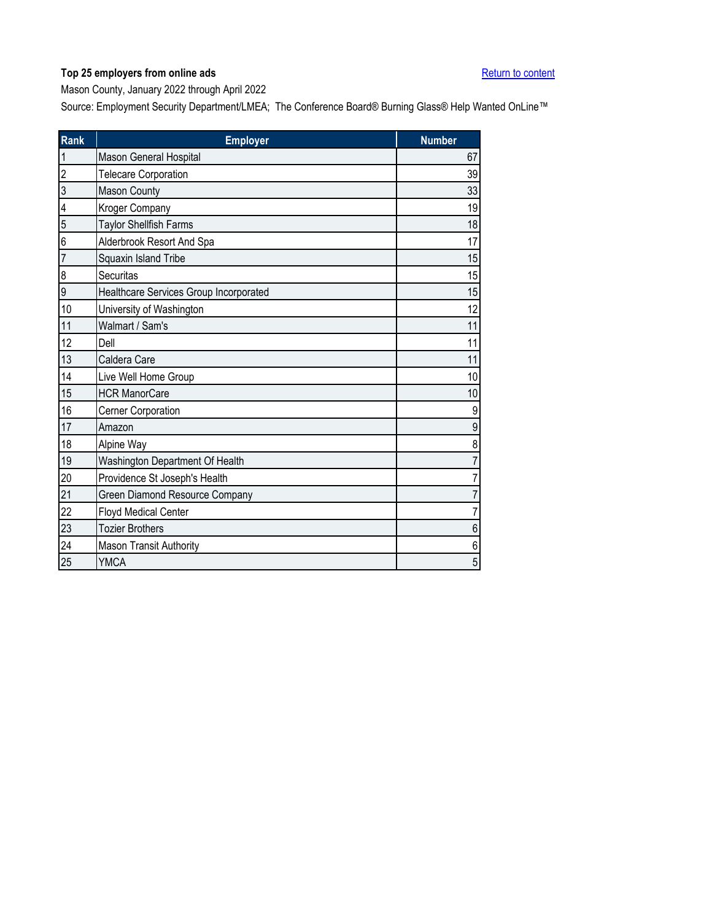<span id="page-24-0"></span>Mason County, January 2022 through April 2022

| Rank           | <b>Employer</b>                        | <b>Number</b>    |
|----------------|----------------------------------------|------------------|
| $\mathbf{1}$   | Mason General Hospital                 | 67               |
| $\overline{2}$ | <b>Telecare Corporation</b>            | 39               |
| 3              | Mason County                           | 33               |
| 4              | Kroger Company                         | 19               |
| 5              | Taylor Shellfish Farms                 | 18               |
| 6              | Alderbrook Resort And Spa              | 17               |
| $\overline{7}$ | Squaxin Island Tribe                   | 15               |
| 8              | Securitas                              | 15               |
| $\overline{9}$ | Healthcare Services Group Incorporated | 15               |
| 10             | University of Washington               | 12               |
| 11             | Walmart / Sam's                        | 11               |
| 12             | Dell                                   | 11               |
| 13             | Caldera Care                           | 11               |
| 14             | Live Well Home Group                   | 10               |
| 15             | <b>HCR ManorCare</b>                   | 10               |
| 16             | Cerner Corporation                     | 9                |
| 17             | Amazon                                 | 9                |
| 18             | Alpine Way                             | 8                |
| 19             | Washington Department Of Health        | $\overline{7}$   |
| 20             | Providence St Joseph's Health          | $\overline{7}$   |
| 21             | Green Diamond Resource Company         | $\overline{7}$   |
| 22             | <b>Floyd Medical Center</b>            | $\overline{7}$   |
| 23             | <b>Tozier Brothers</b>                 | $\,6$            |
| 24             | <b>Mason Transit Authority</b>         | $\boldsymbol{6}$ |
| 25             | <b>YMCA</b>                            | 5                |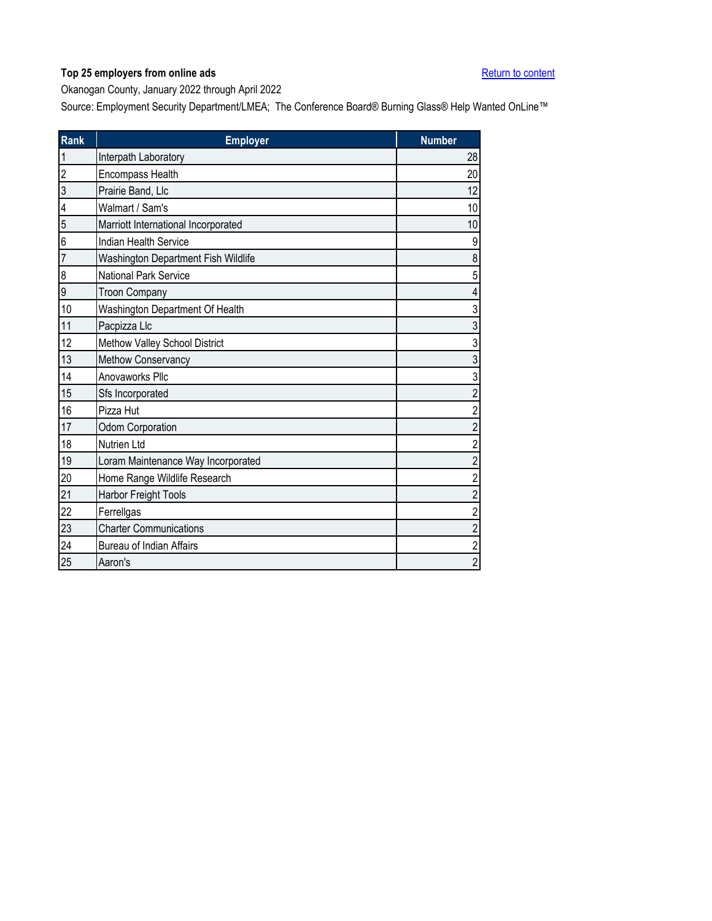<span id="page-25-0"></span>Okanogan County, January 2022 through April 2022

| Rank             | <b>Employer</b>                     | <b>Number</b>           |
|------------------|-------------------------------------|-------------------------|
| 1                | Interpath Laboratory                | 28                      |
| $\overline{c}$   | Encompass Health                    | 20                      |
| 3                | Prairie Band, Llc                   | 12                      |
| 4                | Walmart / Sam's                     | 10                      |
| 5                | Marriott International Incorporated | 10                      |
| 6                | <b>Indian Health Service</b>        | $\boldsymbol{9}$        |
| 7                | Washington Department Fish Wildlife | $\bf 8$                 |
| $\boldsymbol{8}$ | National Park Service               | 5                       |
| 9                | <b>Troon Company</b>                | $\overline{4}$          |
| 10               | Washington Department Of Health     | $\sqrt{3}$              |
| 11               | Pacpizza Llc                        | $\mathfrak{S}$          |
| 12               | Methow Valley School District       | 3                       |
| 13               | Methow Conservancy                  | $\mathfrak{S}$          |
| 14               | Anovaworks Pllc                     | $\sqrt{3}$              |
| 15               | Sfs Incorporated                    | $\overline{\mathbf{c}}$ |
| 16               | Pizza Hut                           | $\overline{2}$          |
| 17               | Odom Corporation                    | $\overline{c}$          |
| 18               | <b>Nutrien Ltd</b>                  | $\overline{2}$          |
| 19               | Loram Maintenance Way Incorporated  | $\overline{2}$          |
| 20               | Home Range Wildlife Research        | $\overline{c}$          |
| 21               | Harbor Freight Tools                | $\overline{\mathbf{c}}$ |
| 22               | Ferrellgas                          | $\overline{\mathbf{c}}$ |
| 23               | <b>Charter Communications</b>       | $\overline{c}$          |
| 24               | <b>Bureau of Indian Affairs</b>     | $\overline{\mathbf{c}}$ |
| 25               | Aaron's                             | $\overline{c}$          |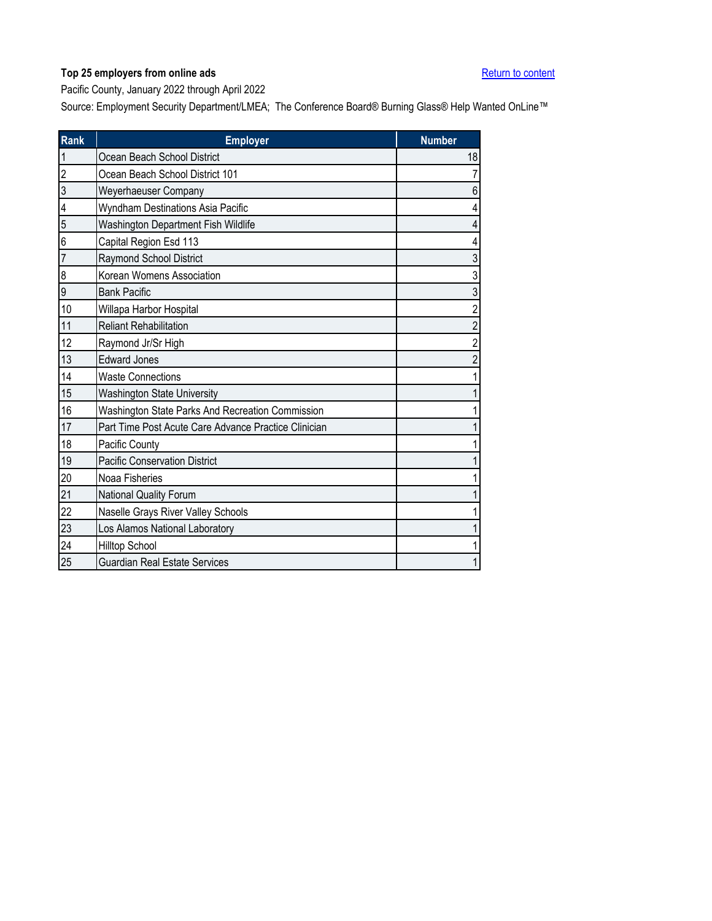<span id="page-26-0"></span>Pacific County, January 2022 through April 2022

| <b>Rank</b>    | <b>Employer</b>                                      | <b>Number</b>           |
|----------------|------------------------------------------------------|-------------------------|
| $\mathbf{1}$   | Ocean Beach School District                          | 18                      |
| $\overline{2}$ | Ocean Beach School District 101                      | $\overline{7}$          |
| 3              | Weyerhaeuser Company                                 | $\boldsymbol{6}$        |
| 4              | Wyndham Destinations Asia Pacific                    | 4                       |
| 5              | Washington Department Fish Wildlife                  | 4                       |
| 6              | Capital Region Esd 113                               | 4                       |
| $\overline{7}$ | Raymond School District                              | 3                       |
| 8              | Korean Womens Association                            | 3                       |
| 9              | <b>Bank Pacific</b>                                  | 3                       |
| 10             | Willapa Harbor Hospital                              | $\overline{\mathbf{c}}$ |
| 11             | <b>Reliant Rehabilitation</b>                        | $\overline{\mathbf{c}}$ |
| 12             | Raymond Jr/Sr High                                   | $\overline{2}$          |
| 13             | <b>Edward Jones</b>                                  | $\overline{c}$          |
| 14             | <b>Waste Connections</b>                             | $\mathbf 1$             |
| 15             | <b>Washington State University</b>                   | $\mathbf{1}$            |
| 16             | Washington State Parks And Recreation Commission     | 1                       |
| 17             | Part Time Post Acute Care Advance Practice Clinician | 1                       |
| 18             | Pacific County                                       | $\mathbf 1$             |
| 19             | <b>Pacific Conservation District</b>                 | 1                       |
| 20             | Noaa Fisheries                                       | 1                       |
| 21             | National Quality Forum                               | $\mathbf 1$             |
| 22             | Naselle Grays River Valley Schools                   | 1                       |
| 23             | Los Alamos National Laboratory                       | $\mathbf{1}$            |
| 24             | Hilltop School                                       | 1                       |
| 25             | <b>Guardian Real Estate Services</b>                 | $\mathbf{1}$            |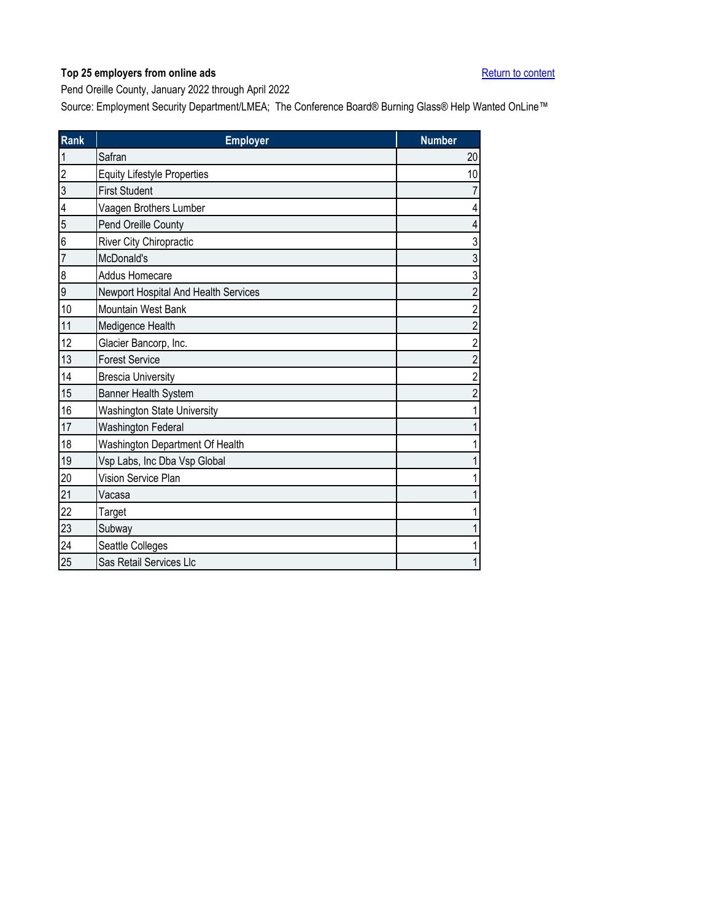<span id="page-27-0"></span>Pend Oreille County, January 2022 through April 2022

| Rank | <b>Employer</b>                      | <b>Number</b>  |
|------|--------------------------------------|----------------|
|      | Safran                               | 20             |
| 2    | <b>Equity Lifestyle Properties</b>   | 10             |
| 3    | <b>First Student</b>                 | 7              |
| 4    | Vaagen Brothers Lumber               | 4              |
| 5    | Pend Oreille County                  | 4              |
| 6    | River City Chiropractic              | 3              |
| 7    | McDonald's                           | 3              |
| 8    | Addus Homecare                       | 3              |
| 9    | Newport Hospital And Health Services | $\overline{2}$ |
| 10   | Mountain West Bank                   | $\overline{c}$ |
| 11   | Medigence Health                     | $\overline{2}$ |
| 12   | Glacier Bancorp, Inc.                | $\overline{2}$ |
| 13   | <b>Forest Service</b>                | $\overline{c}$ |
| 14   | <b>Brescia University</b>            | $\overline{2}$ |
| 15   | Banner Health System                 | $\overline{2}$ |
| 16   | <b>Washington State University</b>   |                |
| 17   | Washington Federal                   |                |
| 18   | Washington Department Of Health      |                |
| 19   | Vsp Labs, Inc Dba Vsp Global         |                |
| 20   | Vision Service Plan                  |                |
| 21   | Vacasa                               |                |
| 22   | Target                               |                |
| 23   | Subway                               |                |
| 24   | Seattle Colleges                     |                |
| 25   | Sas Retail Services Llc              |                |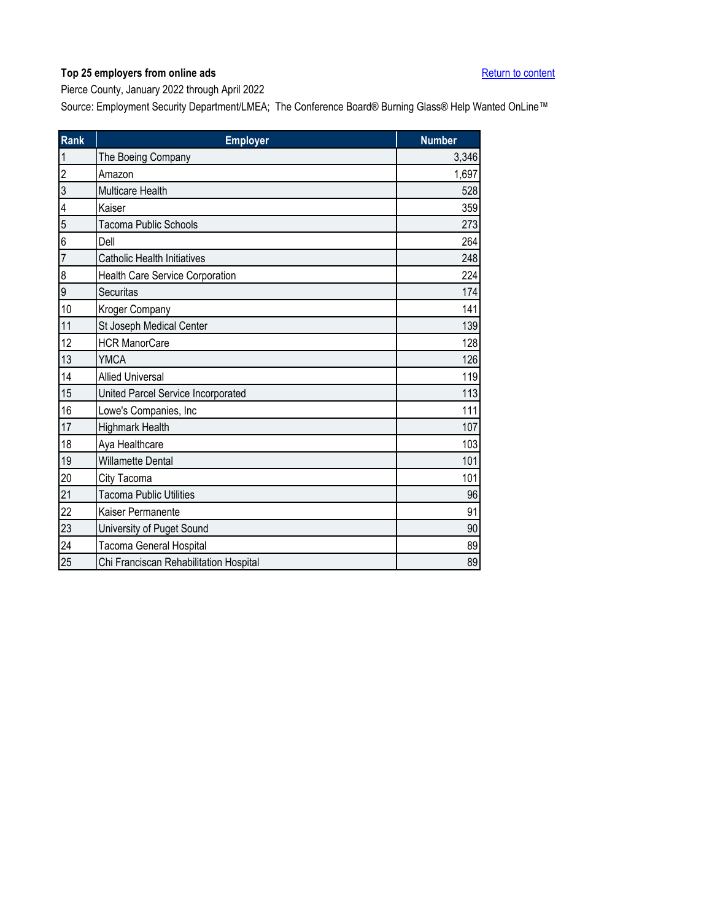<span id="page-28-0"></span>Pierce County, January 2022 through April 2022

| Rank                    | <b>Employer</b>                        | <b>Number</b> |
|-------------------------|----------------------------------------|---------------|
| 1                       | The Boeing Company                     | 3,346         |
| $\overline{c}$          | Amazon                                 | 1,697         |
| 3                       | <b>Multicare Health</b>                | 528           |
| $\overline{\mathbf{4}}$ | Kaiser                                 | 359           |
| 5                       | <b>Tacoma Public Schools</b>           | 273           |
| 6                       | Dell                                   | 264           |
| $\overline{7}$          | <b>Catholic Health Initiatives</b>     | 248           |
| 8                       | Health Care Service Corporation        | 224           |
| 9                       | Securitas                              | 174           |
| 10                      | Kroger Company                         | 141           |
| 11                      | St Joseph Medical Center               | 139           |
| 12                      | <b>HCR ManorCare</b>                   | 128           |
| 13                      | <b>YMCA</b>                            | 126           |
| 14                      | <b>Allied Universal</b>                | 119           |
| 15                      | United Parcel Service Incorporated     | 113           |
| 16                      | Lowe's Companies, Inc                  | 111           |
| 17                      | <b>Highmark Health</b>                 | 107           |
| 18                      | Aya Healthcare                         | 103           |
| 19                      | <b>Willamette Dental</b>               | 101           |
| 20                      | City Tacoma                            | 101           |
| 21                      | <b>Tacoma Public Utilities</b>         | 96            |
| 22                      | Kaiser Permanente                      | 91            |
| 23                      | University of Puget Sound              | 90            |
| 24                      | Tacoma General Hospital                | 89            |
| 25                      | Chi Franciscan Rehabilitation Hospital | 89            |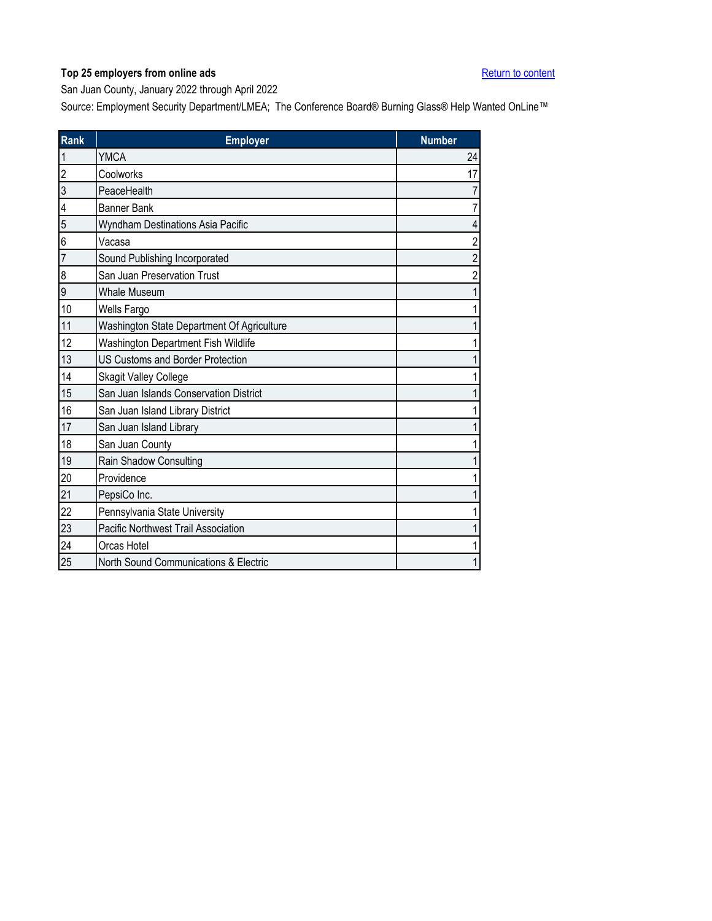<span id="page-29-0"></span>San Juan County, January 2022 through April 2022

| <b>Rank</b>    | <b>Employer</b>                            | <b>Number</b>  |
|----------------|--------------------------------------------|----------------|
| 1              | <b>YMCA</b>                                | 24             |
| $\overline{c}$ | Coolworks                                  | 17             |
| 3              | PeaceHealth                                |                |
| 4              | <b>Banner Bank</b>                         | 7              |
| 5              | Wyndham Destinations Asia Pacific          | 4              |
| 6              | Vacasa                                     | 2              |
| $\overline{7}$ | Sound Publishing Incorporated              | $\overline{2}$ |
| 8              | San Juan Preservation Trust                | 2              |
| 9              | <b>Whale Museum</b>                        |                |
| 10             | Wells Fargo                                |                |
| 11             | Washington State Department Of Agriculture |                |
| 12             | Washington Department Fish Wildlife        |                |
| 13             | <b>US Customs and Border Protection</b>    |                |
| 14             | <b>Skagit Valley College</b>               |                |
| 15             | San Juan Islands Conservation District     |                |
| 16             | San Juan Island Library District           |                |
| 17             | San Juan Island Library                    |                |
| 18             | San Juan County                            |                |
| 19             | Rain Shadow Consulting                     |                |
| 20             | Providence                                 |                |
| 21             | PepsiCo Inc.                               |                |
| 22             | Pennsylvania State University              |                |
| 23             | Pacific Northwest Trail Association        |                |
| 24             | Orcas Hotel                                |                |
| 25             | North Sound Communications & Electric      |                |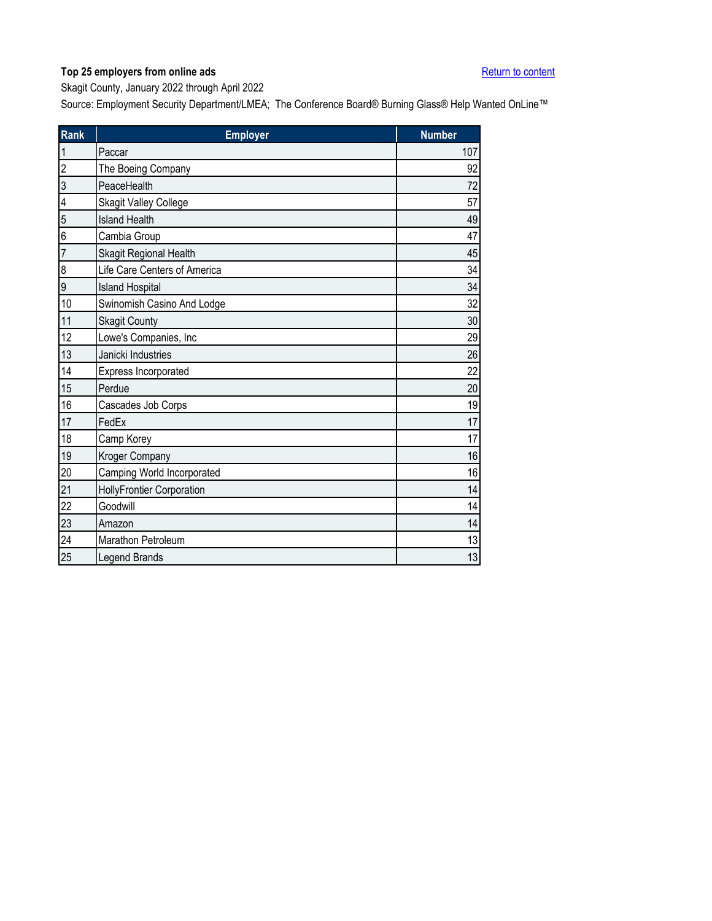<span id="page-30-0"></span>Skagit County, January 2022 through April 2022

| Rank             | <b>Employer</b>              | <b>Number</b> |
|------------------|------------------------------|---------------|
|                  | Paccar                       | 107           |
| $\overline{c}$   | The Boeing Company           | 92            |
| 3                | PeaceHealth                  | 72            |
| 4                | <b>Skagit Valley College</b> | 57            |
| 5                | <b>Island Health</b>         | 49            |
| 6                | Cambia Group                 | 47            |
| 7                | Skagit Regional Health       | 45            |
| $\boldsymbol{8}$ | Life Care Centers of America | 34            |
| 9                | <b>Island Hospital</b>       | 34            |
| 10               | Swinomish Casino And Lodge   | 32            |
| 11               | <b>Skagit County</b>         | 30            |
| 12               | Lowe's Companies, Inc        | 29            |
| 13               | Janicki Industries           | 26            |
| 14               | Express Incorporated         | 22            |
| 15               | Perdue                       | 20            |
| 16               | Cascades Job Corps           | 19            |
| 17               | FedEx                        | 17            |
| 18               | Camp Korey                   | 17            |
| 19               | Kroger Company               | 16            |
| 20               | Camping World Incorporated   | 16            |
| 21               | HollyFrontier Corporation    | 14            |
| 22               | Goodwill                     | 14            |
| 23               | Amazon                       | 14            |
| 24               | Marathon Petroleum           | 13            |
| 25               | Legend Brands                | 13            |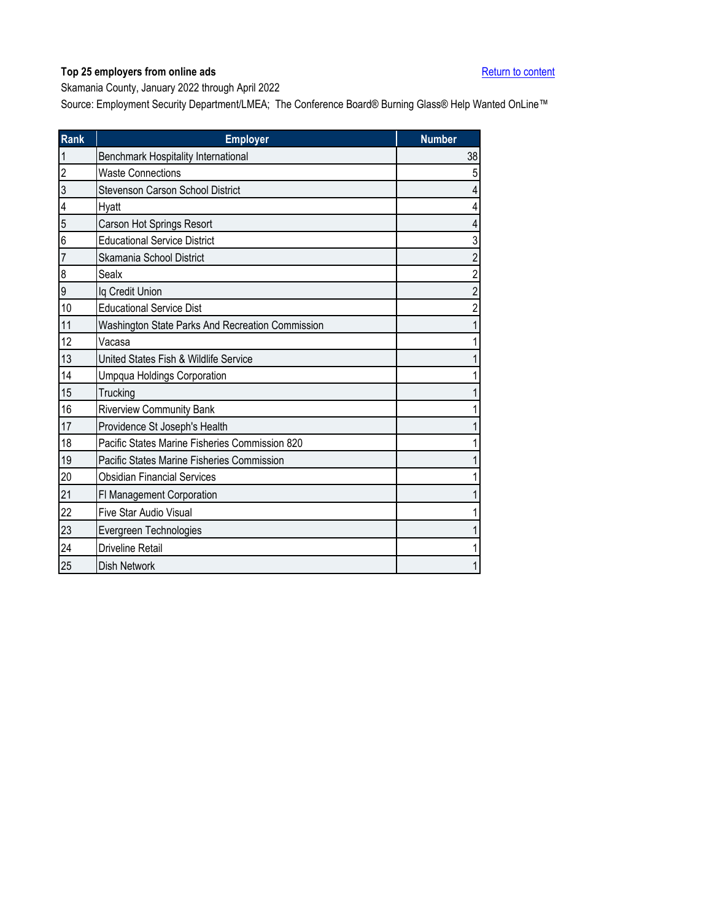<span id="page-31-0"></span>Skamania County, January 2022 through April 2022

| <b>Rank</b>    | <b>Employer</b>                                  | <b>Number</b>  |
|----------------|--------------------------------------------------|----------------|
| 1              | Benchmark Hospitality International              | 38             |
| $\overline{c}$ | <b>Waste Connections</b>                         | 5              |
| 3              | Stevenson Carson School District                 | 4              |
| 4              | Hyatt                                            |                |
| 5              | Carson Hot Springs Resort                        |                |
| 6              | <b>Educational Service District</b>              | 3              |
| $\overline{7}$ | Skamania School District                         | 2              |
| 8              | Sealx                                            | $\overline{2}$ |
| 9              | Iq Credit Union                                  | $\overline{2}$ |
| 10             | <b>Educational Service Dist</b>                  | $\overline{2}$ |
| 11             | Washington State Parks And Recreation Commission |                |
| 12             | Vacasa                                           |                |
| 13             | United States Fish & Wildlife Service            |                |
| 14             | <b>Umpqua Holdings Corporation</b>               |                |
| 15             | Trucking                                         |                |
| 16             | <b>Riverview Community Bank</b>                  |                |
| 17             | Providence St Joseph's Health                    |                |
| 18             | Pacific States Marine Fisheries Commission 820   |                |
| 19             | Pacific States Marine Fisheries Commission       |                |
| 20             | <b>Obsidian Financial Services</b>               |                |
| 21             | FI Management Corporation                        |                |
| 22             | Five Star Audio Visual                           |                |
| 23             | Evergreen Technologies                           |                |
| 24             | Driveline Retail                                 |                |
| 25             | <b>Dish Network</b>                              |                |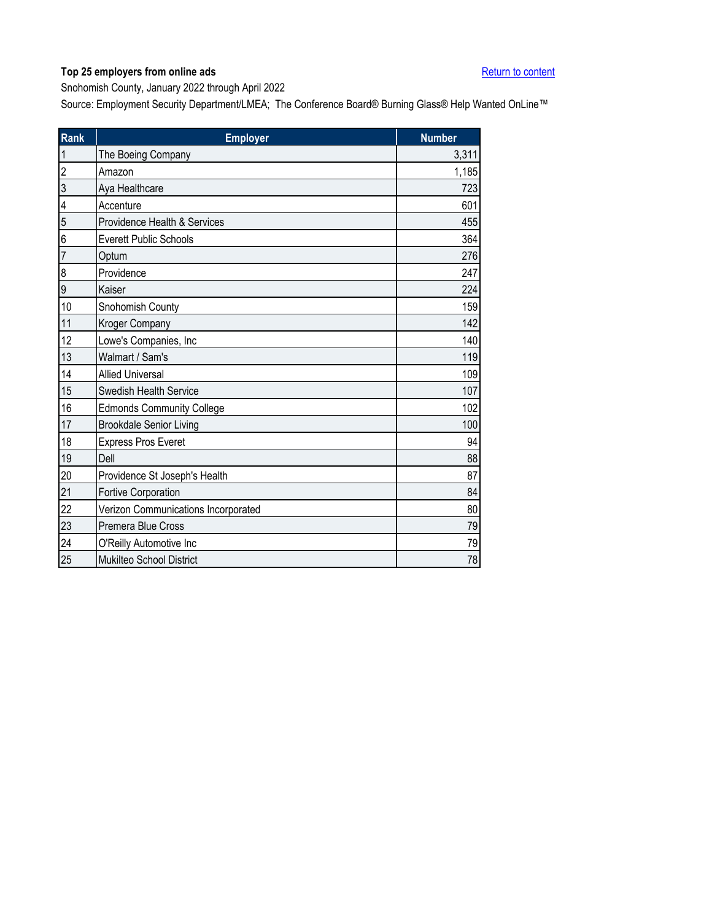<span id="page-32-0"></span>Snohomish County, January 2022 through April 2022

| <b>Rank</b>    | <b>Employer</b>                     | <b>Number</b> |
|----------------|-------------------------------------|---------------|
| 1              | The Boeing Company                  | 3,311         |
| $\overline{c}$ | Amazon                              | 1,185         |
| 3              | Aya Healthcare                      | 723           |
| 4              | Accenture                           | 601           |
| 5              | Providence Health & Services        | 455           |
| 6              | <b>Everett Public Schools</b>       | 364           |
| 7              | Optum                               | 276           |
| 8              | Providence                          | 247           |
| 9              | Kaiser                              | 224           |
| 10             | Snohomish County                    | 159           |
| 11             | Kroger Company                      | 142           |
| 12             | Lowe's Companies, Inc               | 140           |
| 13             | Walmart / Sam's                     | 119           |
| 14             | <b>Allied Universal</b>             | 109           |
| 15             | Swedish Health Service              | 107           |
| 16             | <b>Edmonds Community College</b>    | 102           |
| 17             | <b>Brookdale Senior Living</b>      | 100           |
| 18             | <b>Express Pros Everet</b>          | 94            |
| 19             | Dell                                | 88            |
| 20             | Providence St Joseph's Health       | 87            |
| 21             | Fortive Corporation                 | 84            |
| 22             | Verizon Communications Incorporated | 80            |
| 23             | Premera Blue Cross                  | 79            |
| 24             | O'Reilly Automotive Inc             | 79            |
| 25             | Mukilteo School District            | 78            |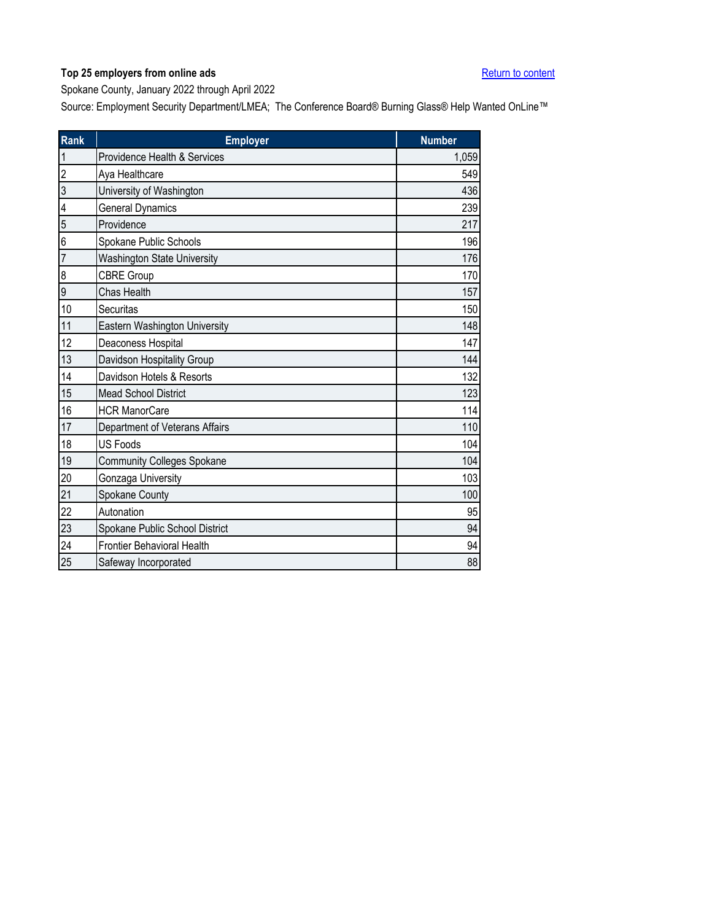<span id="page-33-0"></span>Spokane County, January 2022 through April 2022

| Rank           | <b>Employer</b>                    | <b>Number</b> |
|----------------|------------------------------------|---------------|
| $\mathbf{1}$   | Providence Health & Services       | 1,059         |
| $\overline{2}$ | Aya Healthcare                     | 549           |
| 3              | University of Washington           | 436           |
| 4              | <b>General Dynamics</b>            | 239           |
| 5              | Providence                         | 217           |
| 6              | Spokane Public Schools             | 196           |
| $\overline{7}$ | <b>Washington State University</b> | 176           |
| 8              | <b>CBRE Group</b>                  | 170           |
| 9              | Chas Health                        | 157           |
| 10             | Securitas                          | 150           |
| 11             | Eastern Washington University      | 148           |
| 12             | Deaconess Hospital                 | 147           |
| 13             | Davidson Hospitality Group         | 144           |
| 14             | Davidson Hotels & Resorts          | 132           |
| 15             | <b>Mead School District</b>        | 123           |
| 16             | <b>HCR ManorCare</b>               | 114           |
| 17             | Department of Veterans Affairs     | 110           |
| 18             | <b>US Foods</b>                    | 104           |
| 19             | <b>Community Colleges Spokane</b>  | 104           |
| 20             | Gonzaga University                 | 103           |
| 21             | Spokane County                     | 100           |
| 22             | Autonation                         | 95            |
| 23             | Spokane Public School District     | 94            |
| 24             | <b>Frontier Behavioral Health</b>  | 94            |
| 25             | Safeway Incorporated               | 88            |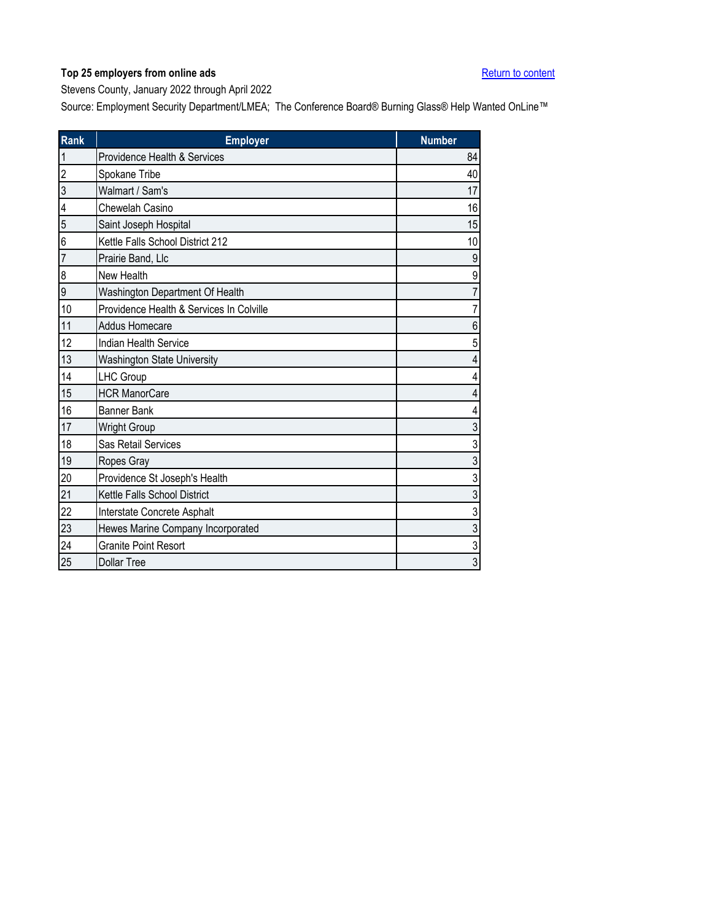<span id="page-34-0"></span>Stevens County, January 2022 through April 2022

| <b>Rank</b>             | <b>Employer</b>                          | <b>Number</b>           |
|-------------------------|------------------------------------------|-------------------------|
| $\overline{1}$          | Providence Health & Services             | 84                      |
| $\overline{c}$          | Spokane Tribe                            | 40                      |
| $\overline{3}$          | Walmart / Sam's                          | 17                      |
| $\overline{\mathbf{4}}$ | Chewelah Casino                          | 16                      |
| 5                       | Saint Joseph Hospital                    | 15                      |
| 6                       | Kettle Falls School District 212         | 10                      |
| $\overline{7}$          | Prairie Band, Llc                        | $\boldsymbol{9}$        |
| 8                       | New Health                               | 9                       |
| 9                       | Washington Department Of Health          | $\overline{7}$          |
| 10                      | Providence Health & Services In Colville | $\overline{7}$          |
| 11                      | Addus Homecare                           | $\boldsymbol{6}$        |
| 12                      | <b>Indian Health Service</b>             | 5                       |
| 13                      | <b>Washington State University</b>       | $\overline{\mathbf{4}}$ |
| 14                      | <b>LHC Group</b>                         | $\overline{4}$          |
| 15                      | <b>HCR ManorCare</b>                     | $\overline{4}$          |
| $16\,$                  | <b>Banner Bank</b>                       | $\overline{4}$          |
| 17                      | <b>Wright Group</b>                      | $\mathfrak{S}$          |
| 18                      | Sas Retail Services                      | 3                       |
| 19                      | Ropes Gray                               | 3                       |
| 20                      | Providence St Joseph's Health            | $\sqrt{3}$              |
| 21                      | Kettle Falls School District             | $\mathfrak{Z}$          |
| 22                      | Interstate Concrete Asphalt              | 3                       |
| 23                      | Hewes Marine Company Incorporated        | $\sqrt{3}$              |
| 24                      | <b>Granite Point Resort</b>              | $\sqrt{3}$              |
| 25                      | <b>Dollar Tree</b>                       | $\mathfrak{Z}$          |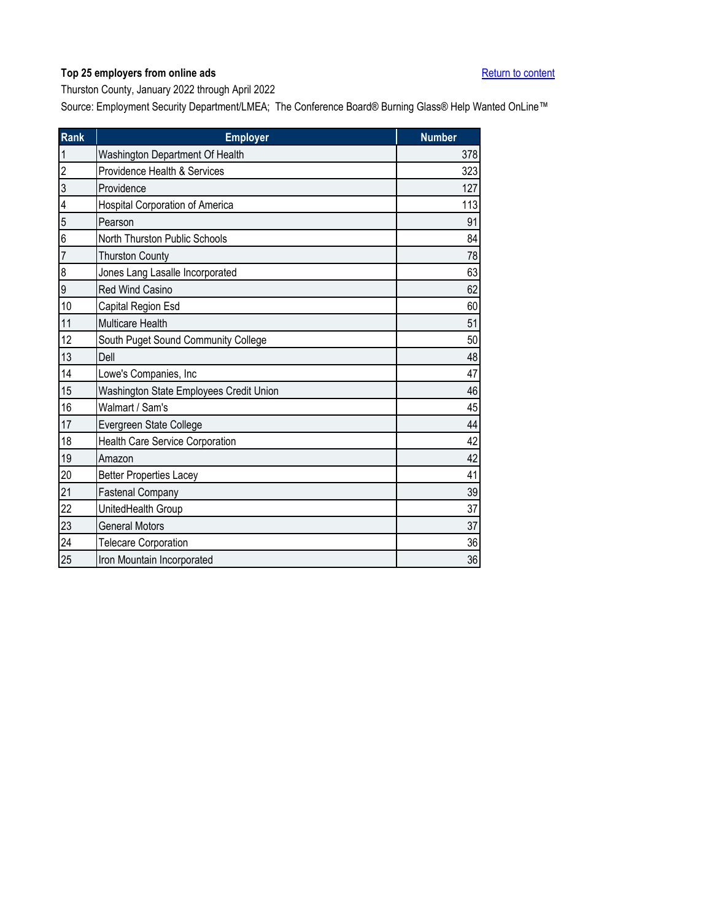<span id="page-35-0"></span>Thurston County, January 2022 through April 2022

| Rank           | <b>Employer</b>                         | <b>Number</b> |
|----------------|-----------------------------------------|---------------|
| 1              | Washington Department Of Health         | 378           |
| $\overline{2}$ | Providence Health & Services            | 323           |
| 3              | Providence                              | 127           |
| 4              | Hospital Corporation of America         | 113           |
| 5              | Pearson                                 | 91            |
| 6              | North Thurston Public Schools           | 84            |
| 7              | <b>Thurston County</b>                  | 78            |
| 8              | Jones Lang Lasalle Incorporated         | 63            |
| 9              | Red Wind Casino                         | 62            |
| 10             | Capital Region Esd                      | 60            |
| 11             | <b>Multicare Health</b>                 | 51            |
| 12             | South Puget Sound Community College     | 50            |
| 13             | Dell                                    | 48            |
| 14             | Lowe's Companies, Inc                   | 47            |
| 15             | Washington State Employees Credit Union | 46            |
| 16             | Walmart / Sam's                         | 45            |
| 17             | Evergreen State College                 | 44            |
| 18             | Health Care Service Corporation         | 42            |
| 19             | Amazon                                  | 42            |
| 20             | <b>Better Properties Lacey</b>          | 41            |
| 21             | <b>Fastenal Company</b>                 | 39            |
| 22             | UnitedHealth Group                      | 37            |
| 23             | <b>General Motors</b>                   | 37            |
| 24             | <b>Telecare Corporation</b>             | 36            |
| 25             | Iron Mountain Incorporated              | 36            |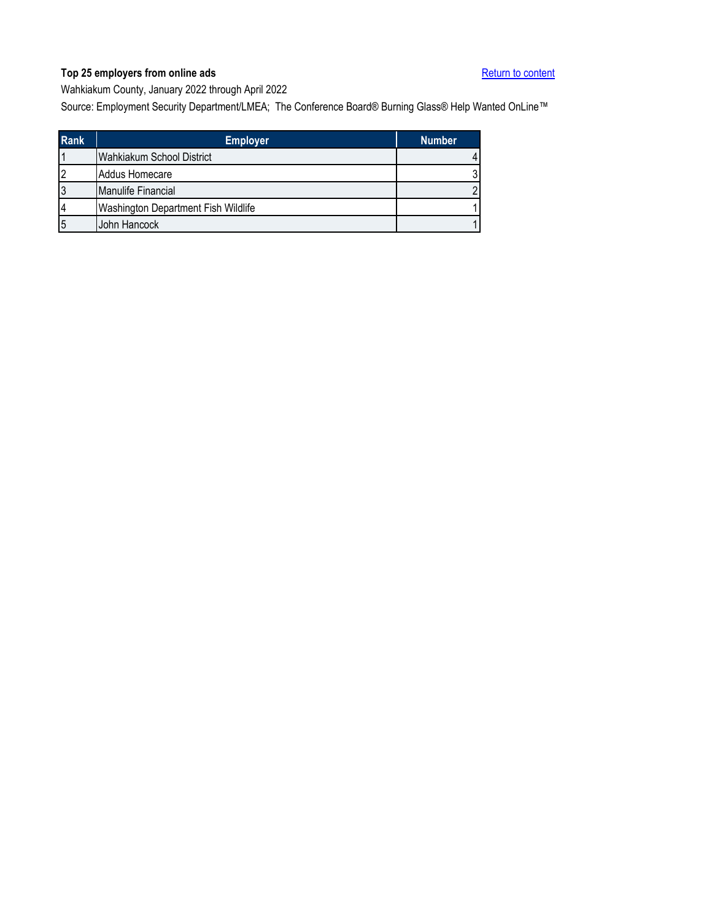<span id="page-36-0"></span>Wahkiakum County, January 2022 through April 2022

| <b>Rank</b> | <b>Employer</b>                     | <b>Number</b> |
|-------------|-------------------------------------|---------------|
|             | Wahkiakum School District           |               |
|             | Addus Homecare                      |               |
|             | Manulife Financial                  |               |
|             | Washington Department Fish Wildlife |               |
|             | John Hancock                        |               |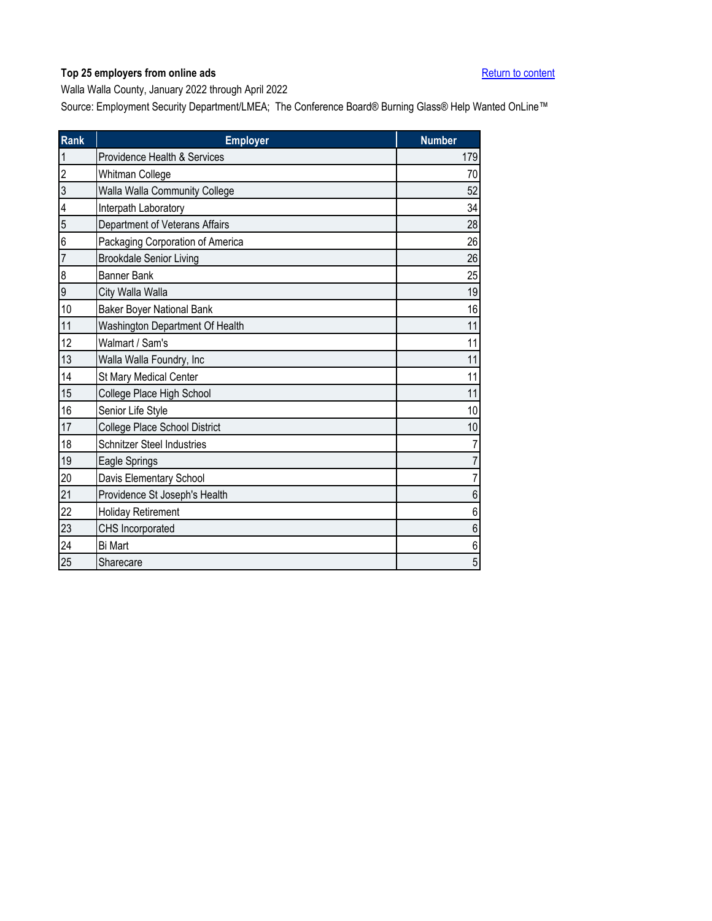<span id="page-37-0"></span>Walla Walla County, January 2022 through April 2022

| <b>Rank</b>    | <b>Employer</b>                   | <b>Number</b> |
|----------------|-----------------------------------|---------------|
| 1              | Providence Health & Services      | 179           |
| $\overline{2}$ | Whitman College                   | 70            |
| 3              | Walla Walla Community College     | 52            |
| 4              | Interpath Laboratory              | 34            |
| 5              | Department of Veterans Affairs    | 28            |
| 6              | Packaging Corporation of America  | 26            |
| 7              | <b>Brookdale Senior Living</b>    | 26            |
| 8              | <b>Banner Bank</b>                | 25            |
| 9              | City Walla Walla                  | 19            |
| 10             | <b>Baker Boyer National Bank</b>  | 16            |
| 11             | Washington Department Of Health   | 11            |
| 12             | Walmart / Sam's                   | 11            |
| 13             | Walla Walla Foundry, Inc          | 11            |
| 14             | St Mary Medical Center            | 11            |
| 15             | College Place High School         | 11            |
| 16             | Senior Life Style                 | 10            |
| 17             | College Place School District     | 10            |
| 18             | <b>Schnitzer Steel Industries</b> | 7             |
| 19             | Eagle Springs                     | 7             |
| 20             | Davis Elementary School           | 7             |
| 21             | Providence St Joseph's Health     | 6             |
| 22             | <b>Holiday Retirement</b>         | 6             |
| 23             | CHS Incorporated                  | 6             |
| 24             | <b>Bi Mart</b>                    | 6             |
| 25             | Sharecare                         | 5             |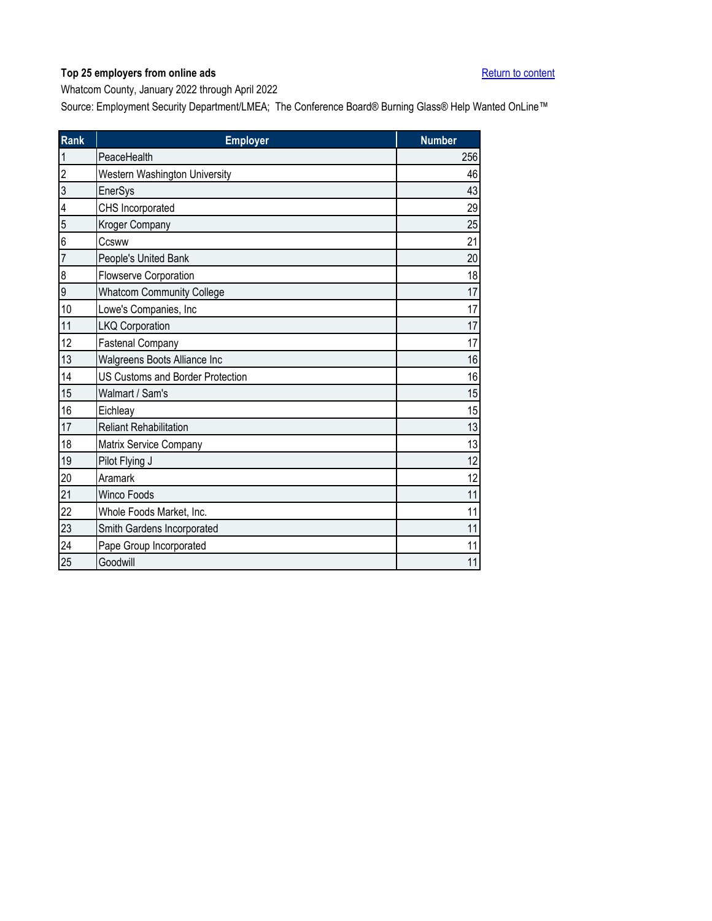<span id="page-38-0"></span>Whatcom County, January 2022 through April 2022

| Rank           | <b>Employer</b>                         | <b>Number</b> |
|----------------|-----------------------------------------|---------------|
| $\mathbf{1}$   | PeaceHealth                             | 256           |
| $\overline{c}$ | Western Washington University           | 46            |
| 3              | EnerSys                                 | 43            |
| 4              | CHS Incorporated                        | 29            |
| 5              | Kroger Company                          | 25            |
| 6              | Ccsww                                   | 21            |
| $\overline{7}$ | People's United Bank                    | 20            |
| 8              | Flowserve Corporation                   | 18            |
| 9              | <b>Whatcom Community College</b>        | 17            |
| 10             | Lowe's Companies, Inc                   | 17            |
| 11             | <b>LKQ Corporation</b>                  | 17            |
| 12             | <b>Fastenal Company</b>                 | 17            |
| 13             | Walgreens Boots Alliance Inc            | 16            |
| 14             | <b>US Customs and Border Protection</b> | 16            |
| 15             | Walmart / Sam's                         | 15            |
| 16             | Eichleay                                | 15            |
| 17             | <b>Reliant Rehabilitation</b>           | 13            |
| 18             | Matrix Service Company                  | 13            |
| 19             | Pilot Flying J                          | 12            |
| 20             | Aramark                                 | 12            |
| 21             | <b>Winco Foods</b>                      | 11            |
| 22             | Whole Foods Market, Inc.                | 11            |
| 23             | Smith Gardens Incorporated              | 11            |
| 24             | Pape Group Incorporated                 | 11            |
| 25             | Goodwill                                | 11            |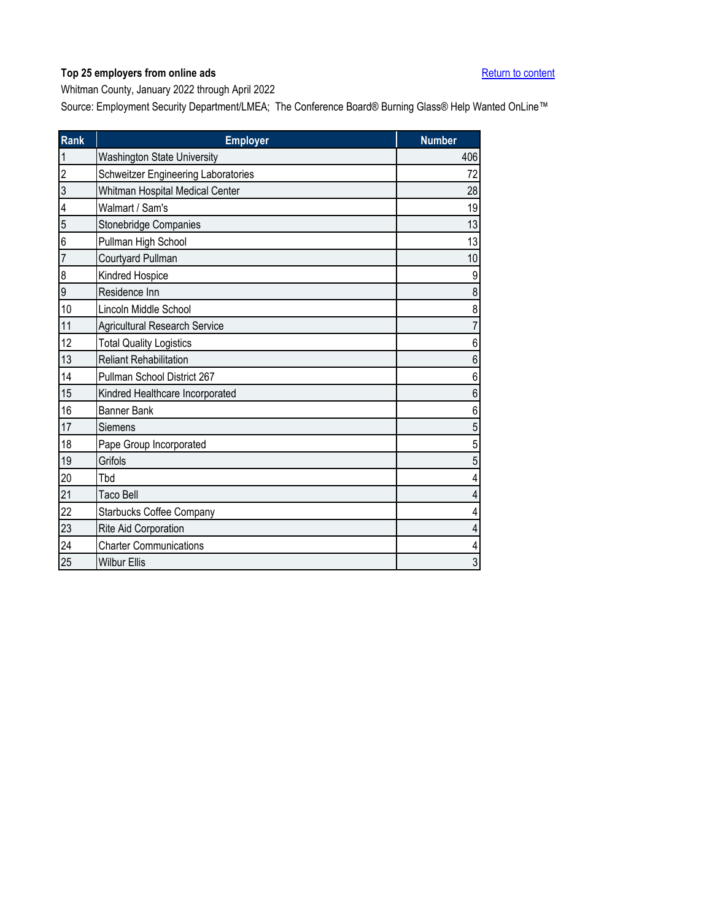<span id="page-39-0"></span>Whitman County, January 2022 through April 2022

| Rank           | <b>Employer</b>                      | <b>Number</b> |
|----------------|--------------------------------------|---------------|
| $\mathbf{1}$   | <b>Washington State University</b>   | 406           |
| $\overline{c}$ | Schweitzer Engineering Laboratories  | 72            |
| 3              | Whitman Hospital Medical Center      | 28            |
| 4              | Walmart / Sam's                      | 19            |
| 5              | Stonebridge Companies                | 13            |
| 6              | Pullman High School                  | 13            |
| 7              | Courtyard Pullman                    | 10            |
| 8              | Kindred Hospice                      | 9             |
| 9              | Residence Inn                        | 8             |
| 10             | Lincoln Middle School                | 8             |
| 11             | <b>Agricultural Research Service</b> | 7             |
| 12             | <b>Total Quality Logistics</b>       | 6             |
| 13             | <b>Reliant Rehabilitation</b>        | 6             |
| 14             | Pullman School District 267          | 6             |
| 15             | Kindred Healthcare Incorporated      | 6             |
| 16             | <b>Banner Bank</b>                   | 6             |
| 17             | Siemens                              | 5             |
| 18             | Pape Group Incorporated              | 5             |
| 19             | Grifols                              | 5             |
| 20             | Tbd                                  | 4             |
| 21             | <b>Taco Bell</b>                     | 4             |
| 22             | <b>Starbucks Coffee Company</b>      | 4             |
| 23             | Rite Aid Corporation                 | 4             |
| 24             | <b>Charter Communications</b>        | 4             |
| 25             | <b>Wilbur Ellis</b>                  | 3             |